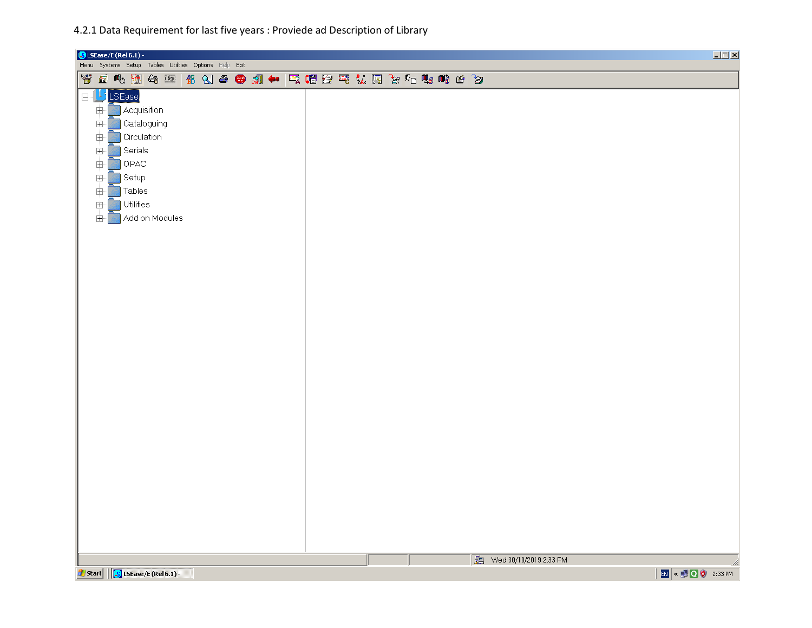4.2.1 Data Requirement for last five years : Proviede ad Description of Library

| <b>G</b> LSEase/E (Rel 6.1) -                                                                                                                                                                                                                                                                                 |                          | $\Box$                 |
|---------------------------------------------------------------------------------------------------------------------------------------------------------------------------------------------------------------------------------------------------------------------------------------------------------------|--------------------------|------------------------|
|                                                                                                                                                                                                                                                                                                               |                          |                        |
| Menu Systems Setup Tables Utilities Options Help Exit<br>背面吃煎勾亚 台勾●需剩◆ 气帽置毛认用您4□咖啡台窗<br>LJ LSEase<br>$\boxminus$ .<br>Ė-<br><b>Acquisition</b><br>Cataloguing<br>Ė-<br>Circulation<br>$\dot{+}$<br>Ė<br>Serials<br>Ė<br>$\mathsf{OPAC}$<br>Ė<br>Setup<br>电<br>Tables<br>Ė<br>Utilities<br>Ė<br>Add on Modules |                          |                        |
|                                                                                                                                                                                                                                                                                                               |                          |                        |
|                                                                                                                                                                                                                                                                                                               | 图 Wed 30/10/2019 2:33 PM |                        |
| Start   G LSEase/E (Rel 6.1) -                                                                                                                                                                                                                                                                                |                          | h.<br>EN < 0 0 2:33 PM |
|                                                                                                                                                                                                                                                                                                               |                          |                        |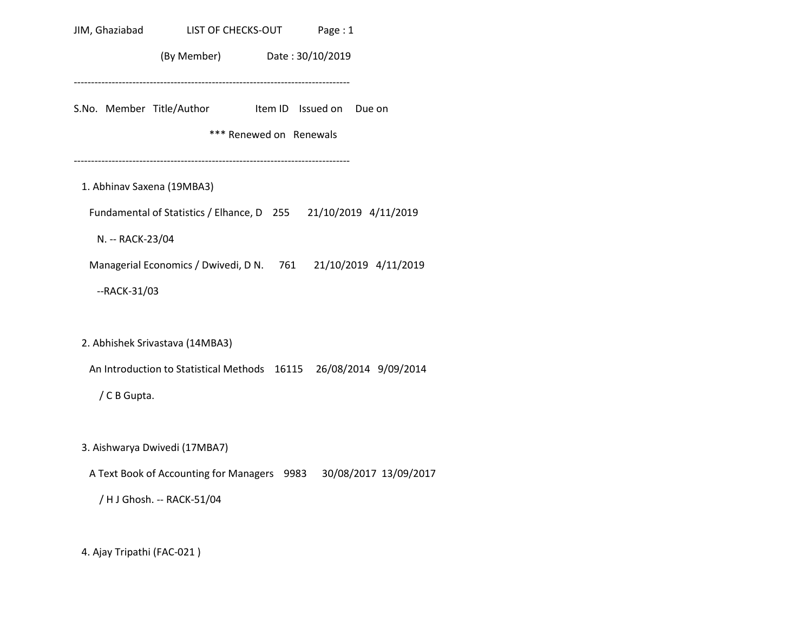| JIM, Ghaziabad             | LIST OF CHECKS-OUT Page: 1                                        |                         |  |
|----------------------------|-------------------------------------------------------------------|-------------------------|--|
|                            | (By Member) Date: 30/10/2019                                      |                         |  |
|                            | S.No. Member Title/Author Item ID Issued on Due on                | *** Renewed on Renewals |  |
| 1. Abhinav Saxena (19MBA3) |                                                                   |                         |  |
|                            | Fundamental of Statistics / Elhance, D 255 21/10/2019 4/11/2019   |                         |  |
| N. -- RACK-23/04           |                                                                   |                         |  |
|                            | Managerial Economics / Dwivedi, D N. 761 21/10/2019 4/11/2019     |                         |  |
| --RACK-31/03               |                                                                   |                         |  |
|                            | 2. Abhishek Srivastava (14MBA3)                                   |                         |  |
|                            | An Introduction to Statistical Methods 16115 26/08/2014 9/09/2014 |                         |  |
| / C B Gupta.               |                                                                   |                         |  |
|                            | 3. Aishwarya Dwivedi (17MBA7)                                     |                         |  |
|                            | A Text Book of Accounting for Managers 9983 30/08/2017 13/09/2017 |                         |  |
|                            | / H J Ghosh. -- RACK-51/04                                        |                         |  |
|                            |                                                                   |                         |  |

4. Ajay Tripathi (FAC-021 )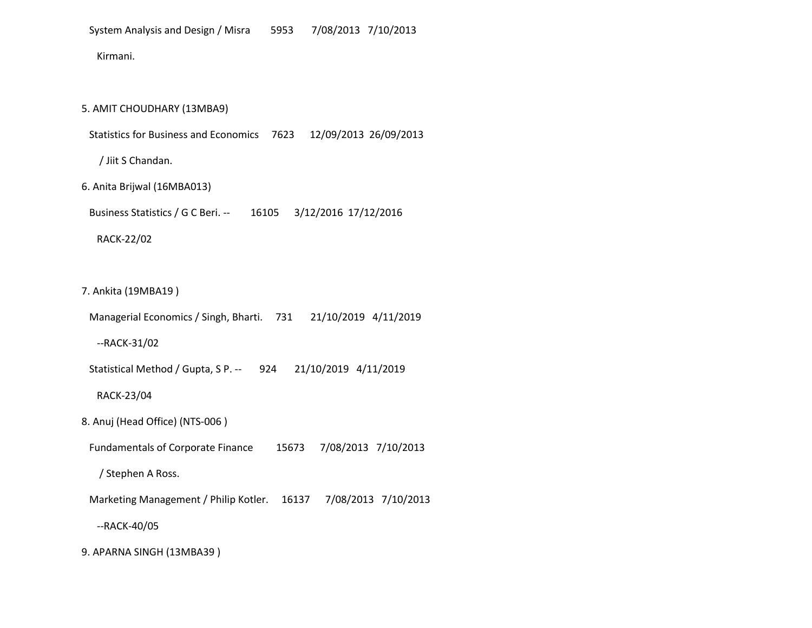Kirmani.

5. AMIT CHOUDHARY (13MBA9)

Statistics for Business and Economics 7623 12/09/2013 26/09/2013

/ Jiit S Chandan.

6. Anita Brijwal (16MBA013)

Business Statistics / G C Beri. -- 16105 3/12/2016 17/12/2016

RACK-22/02

7. Ankita (19MBA19 )

 Managerial Economics / Singh, Bharti. 731 21/10/2019 4/11/2019 --RACK-31/02 Statistical Method / Gupta, S P. -- 924 21/10/2019 4/11/2019 RACK-23/04 8. Anuj (Head Office) (NTS-006 ) Fundamentals of Corporate Finance 15673 7/08/2013 7/10/2013 / Stephen A Ross. Marketing Management / Philip Kotler. 16137 7/08/2013 7/10/2013 --RACK-40/05 9. APARNA SINGH (13MBA39 )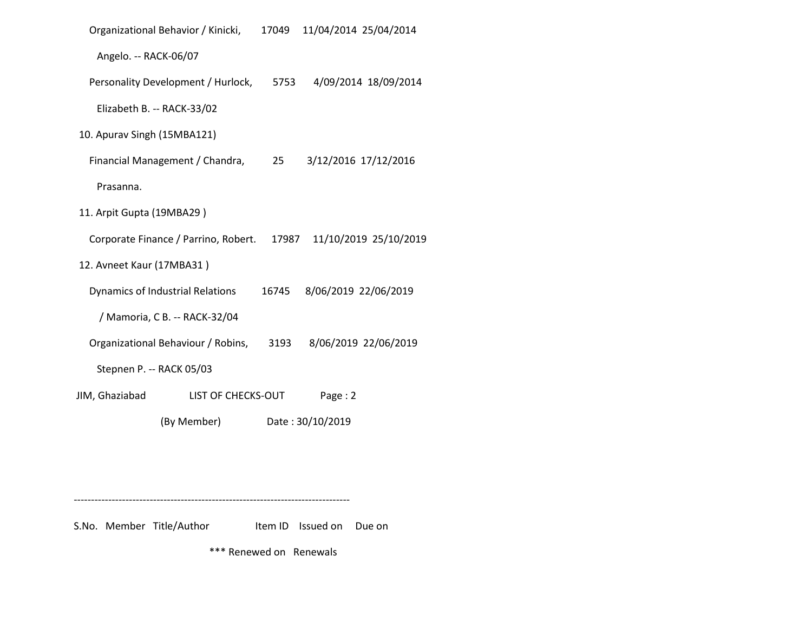|                             | Organizational Behavior / Kinicki,   | 17049 | 11/04/2014 25/04/2014 |
|-----------------------------|--------------------------------------|-------|-----------------------|
| Angelo. -- RACK-06/07       |                                      |       |                       |
|                             | Personality Development / Hurlock,   | 5753  | 4/09/2014 18/09/2014  |
| Elizabeth B. -- RACK-33/02  |                                      |       |                       |
| 10. Apurav Singh (15MBA121) |                                      |       |                       |
|                             | Financial Management / Chandra,      | 25    | 3/12/2016 17/12/2016  |
| Prasanna.                   |                                      |       |                       |
| 11. Arpit Gupta (19MBA29)   |                                      |       |                       |
|                             | Corporate Finance / Parrino, Robert. | 17987 | 11/10/2019 25/10/2019 |
| 12. Avneet Kaur (17MBA31)   |                                      |       |                       |
|                             | Dynamics of Industrial Relations     | 16745 | 8/06/2019 22/06/2019  |
|                             | / Mamoria, C B. -- RACK-32/04        |       |                       |
|                             | Organizational Behaviour / Robins,   | 3193  | 8/06/2019 22/06/2019  |
| Stepnen P. -- RACK 05/03    |                                      |       |                       |
| JIM, Ghaziabad              | LIST OF CHECKS-OUT                   |       | Page: 2               |
|                             | (By Member)                          |       | Date: 30/10/2019      |

--------------------------------------------------------------------------------

S.No. Member Title/Author Item ID Issued on Due on

\*\*\* Renewed on Renewals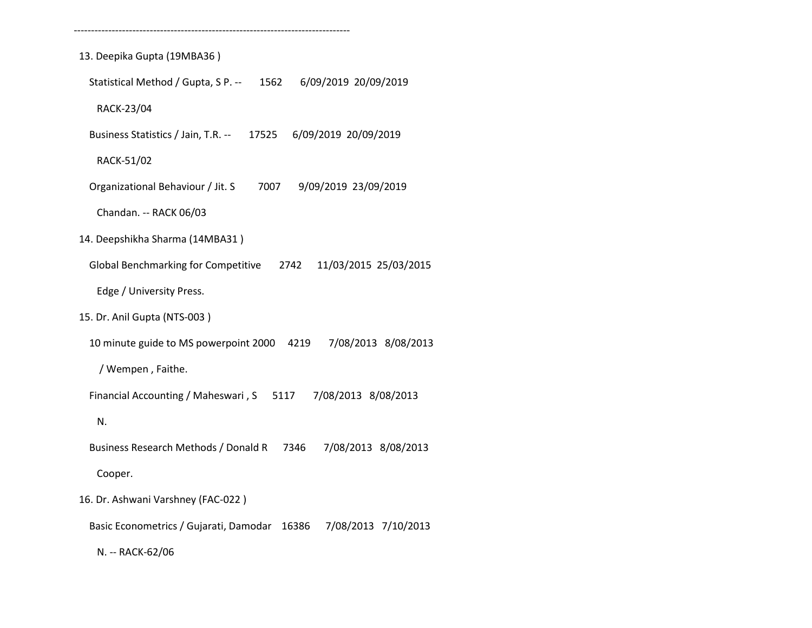13. Deepika Gupta (19MBA36 ) Statistical Method / Gupta, S P. -- 1562 6/09/2019 20/09/2019 RACK-23/04 Business Statistics / Jain, T.R. -- 17525 6/09/2019 20/09/2019 RACK-51/02 Organizational Behaviour / Jit. S 7007 9/09/2019 23/09/2019 Chandan. -- RACK 06/03 14. Deepshikha Sharma (14MBA31 ) Global Benchmarking for Competitive 2742 11/03/2015 25/03/2015 Edge / University Press. 15. Dr. Anil Gupta (NTS-003 ) 10 minute guide to MS powerpoint 2000 4219 7/08/2013 8/08/2013 / Wempen , Faithe. Financial Accounting / Maheswari , S 5117 7/08/2013 8/08/2013 N. Business Research Methods / Donald R 7346 7/08/2013 8/08/2013 Cooper. 16. Dr. Ashwani Varshney (FAC-022 ) Basic Econometrics / Gujarati, Damodar 16386 7/08/2013 7/10/2013

--------------------------------------------------------------------------------

N. -- RACK-62/06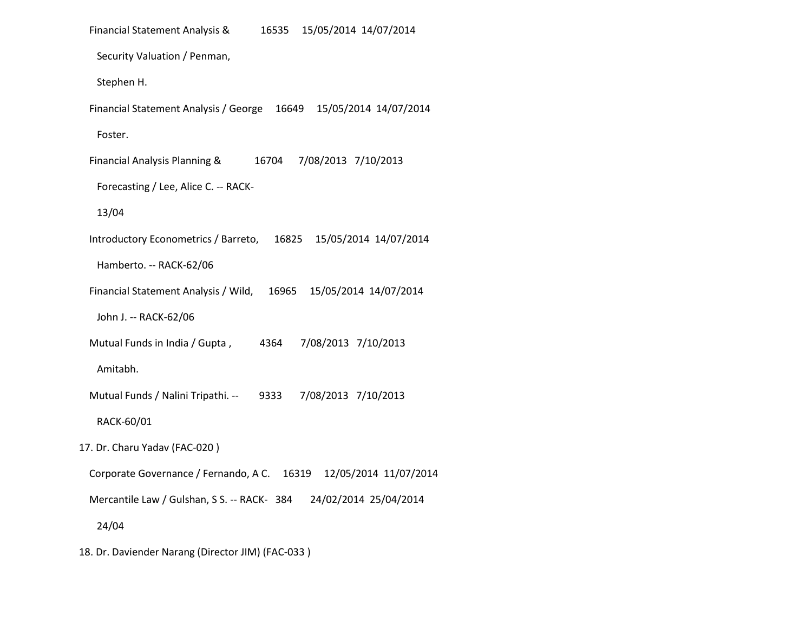| Financial Statement Analysis &<br>15/05/2014 14/07/2014<br>16535        |
|-------------------------------------------------------------------------|
| Security Valuation / Penman,                                            |
| Stephen H.                                                              |
| 15/05/2014 14/07/2014<br>Financial Statement Analysis / George<br>16649 |
| Foster.                                                                 |
| Financial Analysis Planning &<br>16704<br>7/08/2013 7/10/2013           |
| Forecasting / Lee, Alice C. -- RACK-                                    |
| 13/04                                                                   |
| Introductory Econometrics / Barreto,<br>15/05/2014 14/07/2014<br>16825  |
| Hamberto. -- RACK-62/06                                                 |
| Financial Statement Analysis / Wild, 16965<br>15/05/2014 14/07/2014     |
| John J. -- RACK-62/06                                                   |
| 7/08/2013 7/10/2013<br>Mutual Funds in India / Gupta,<br>4364           |
| Amitabh.                                                                |
| Mutual Funds / Nalini Tripathi. --<br>9333<br>7/08/2013 7/10/2013       |
| RACK-60/01                                                              |
| 17. Dr. Charu Yadav (FAC-020)                                           |
| Corporate Governance / Fernando, A C.<br>12/05/2014 11/07/2014<br>16319 |
| Mercantile Law / Gulshan, S S. -- RACK- 384 24/02/2014 25/04/2014       |
| 24/04                                                                   |
| 18. Dr. Daviender Narang (Director JIM) (FAC-033)                       |
|                                                                         |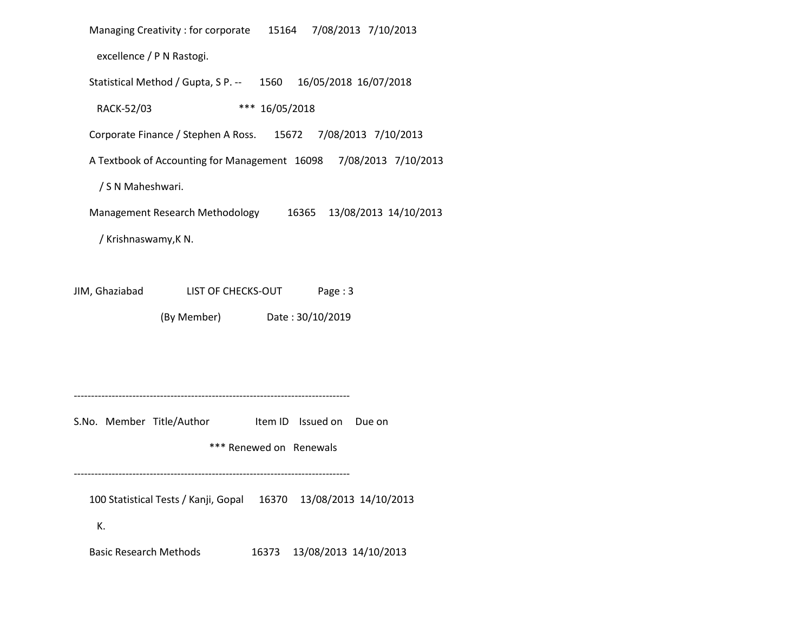Managing Creativity : for corporate 15164 7/08/2013 7/10/2013 excellence / P N Rastogi. Statistical Method / Gupta, S P. -- 1560 16/05/2018 16/07/2018 RACK-52/03 \*\*\* 16/05/2018 Corporate Finance / Stephen A Ross. 15672 7/08/2013 7/10/2013 A Textbook of Accounting for Management 16098 7/08/2013 7/10/2013 / S N Maheshwari. Management Research Methodology 16365 13/08/2013 14/10/2013 / Krishnaswamy,K N. JIM, Ghaziabad LIST OF CHECKS-OUT Page : 3 (By Member) Date : 30/10/2019 -------------------------------------------------------------------------------- S.No. Member Title/Author Item ID Issued on Due on \*\*\* Renewed on Renewals -------------------------------------------------------------------------------- 100 Statistical Tests / Kanji, Gopal 16370 13/08/2013 14/10/2013

K.

Basic Research Methods 16373 13/08/2013 14/10/2013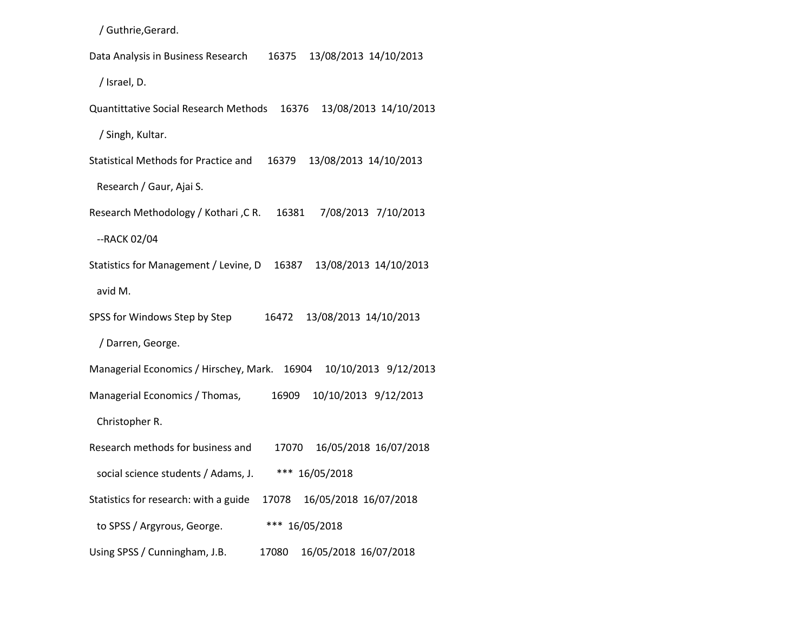/ Guthrie,Gerard.

 Data Analysis in Business Research 16375 13/08/2013 14/10/2013 / Israel, D. Quantittative Social Research Methods 16376 13/08/2013 14/10/2013 / Singh, Kultar. Statistical Methods for Practice and 16379 13/08/2013 14/10/2013 Research / Gaur, Ajai S. Research Methodology / Kothari ,C R. 16381 7/08/2013 7/10/2013 --RACK 02/04 Statistics for Management / Levine, D 16387 13/08/2013 14/10/2013 avid M. SPSS for Windows Step by Step 16472 13/08/2013 14/10/2013 / Darren, George. Managerial Economics / Hirschey, Mark. 16904 10/10/2013 9/12/2013 Managerial Economics / Thomas, 16909 10/10/2013 9/12/2013 Christopher R. Research methods for business and 17070 16/05/2018 16/07/2018 social science students / Adams, J. \*\*\* 16/05/2018 Statistics for research: with a guide 17078 16/05/2018 16/07/2018 to SPSS / Argyrous, George. \*\*\* 16/05/2018 Using SPSS / Cunningham, J.B. 17080 16/05/2018 16/07/2018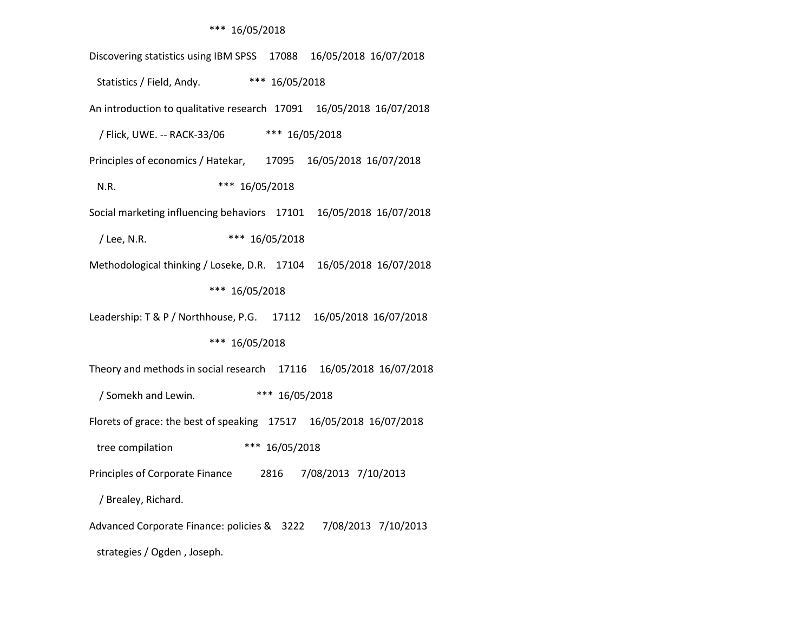#### \*\*\* 16/05/2018

 Discovering statistics using IBM SPSS 17088 16/05/2018 16/07/2018 Statistics / Field, Andy. \*\*\* 16/05/2018 An introduction to qualitative research 17091 16/05/2018 16/07/2018 / Flick, UWE. -- RACK-33/06 \*\*\* 16/05/2018 Principles of economics / Hatekar, 17095 16/05/2018 16/07/2018 N.R. \*\*\* 16/05/2018 Social marketing influencing behaviors 17101 16/05/2018 16/07/2018 / Lee, N.R. \*\*\* 16/05/2018 Methodological thinking / Loseke, D.R. 17104 16/05/2018 16/07/2018 \*\*\* 16/05/2018 Leadership: T & P / Northhouse, P.G. 17112 16/05/2018 16/07/2018 \*\*\* 16/05/2018 Theory and methods in social research 17116 16/05/2018 16/07/2018 / Somekh and Lewin. \*\*\* 16/05/2018 Florets of grace: the best of speaking 17517 16/05/2018 16/07/2018 tree compilation \*\*\* 16/05/2018 Principles of Corporate Finance 2816 7/08/2013 7/10/2013 / Brealey, Richard. Advanced Corporate Finance: policies & 3222 7/08/2013 7/10/2013

strategies / Ogden , Joseph.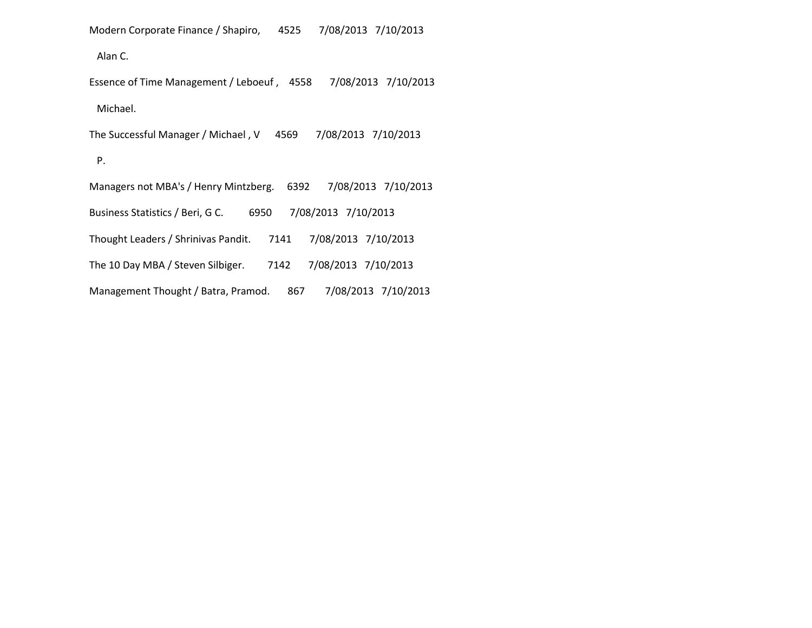Modern Corporate Finance / Shapiro, 4525 7/08/2013 7/10/2013

Alan C.

 Essence of Time Management / Leboeuf , 4558 7/08/2013 7/10/2013 Michael. The Successful Manager / Michael , V 4569 7/08/2013 7/10/2013 P. Managers not MBA's / Henry Mintzberg. 6392 7/08/2013 7/10/2013 Business Statistics / Beri, G C. 6950 7/08/2013 7/10/2013 Thought Leaders / Shrinivas Pandit. 7141 7/08/2013 7/10/2013 The 10 Day MBA / Steven Silbiger. 7142 7/08/2013 7/10/2013

Management Thought / Batra, Pramod. 867 7/08/2013 7/10/2013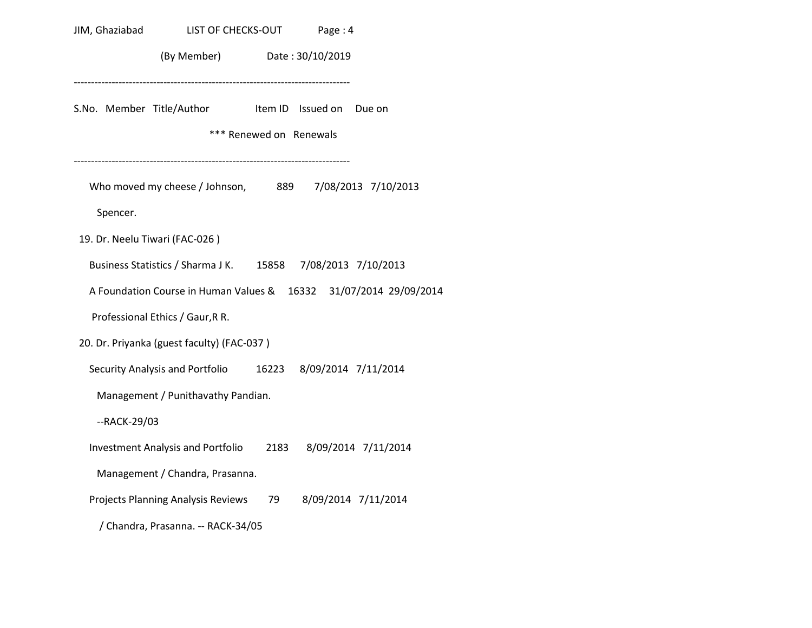| JIM, Ghaziabad                 | LIST OF CHECKS-OUT                                                |      | Page: 4                                             |                     |
|--------------------------------|-------------------------------------------------------------------|------|-----------------------------------------------------|---------------------|
|                                | (By Member) Date: 30/10/2019                                      |      |                                                     |                     |
|                                | S.No. Member Title/Author                                         |      | Item ID Issued on Due on<br>*** Renewed on Renewals |                     |
| Spencer.                       | Who moved my cheese / Johnson, 889 7/08/2013 7/10/2013            |      |                                                     |                     |
| 19. Dr. Neelu Tiwari (FAC-026) |                                                                   |      |                                                     |                     |
|                                | Business Statistics / Sharma J K. 15858 7/08/2013 7/10/2013       |      |                                                     |                     |
|                                | A Foundation Course in Human Values & 16332 31/07/2014 29/09/2014 |      |                                                     |                     |
|                                | Professional Ethics / Gaur, R R.                                  |      |                                                     |                     |
|                                | 20. Dr. Priyanka (guest faculty) (FAC-037)                        |      |                                                     |                     |
|                                | Security Analysis and Portfolio 16223 8/09/2014 7/11/2014         |      |                                                     |                     |
|                                | Management / Punithavathy Pandian.                                |      |                                                     |                     |
| --RACK-29/03                   |                                                                   |      |                                                     |                     |
|                                | <b>Investment Analysis and Portfolio</b>                          | 2183 |                                                     | 8/09/2014 7/11/2014 |
|                                | Management / Chandra, Prasanna.                                   |      |                                                     |                     |
|                                | Projects Planning Analysis Reviews                                | 79   |                                                     | 8/09/2014 7/11/2014 |
|                                | / Chandra, Prasanna. -- RACK-34/05                                |      |                                                     |                     |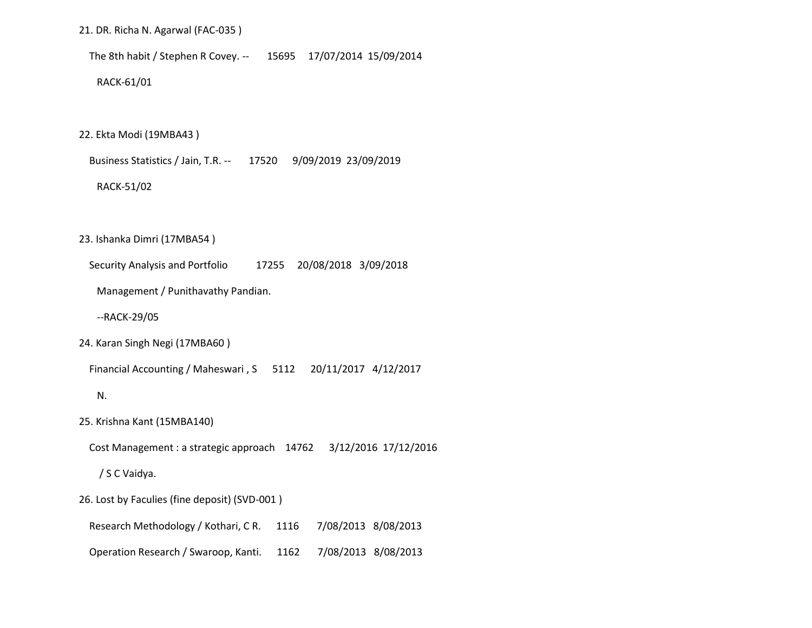#### 21. DR. Richa N. Agarwal (FAC-035 )

The 8th habit / Stephen R Covey. -- 15695 17/07/2014 15/09/2014

RACK-61/01

22. Ekta Modi (19MBA43 )

Business Statistics / Jain, T.R. -- 17520 9/09/2019 23/09/2019

#### RACK-51/02

23. Ishanka Dimri (17MBA54 )

Security Analysis and Portfolio 17255 20/08/2018 3/09/2018

Management / Punithavathy Pandian.

--RACK-29/05

24. Karan Singh Negi (17MBA60 )

Financial Accounting / Maheswari , S 5112 20/11/2017 4/12/2017

N.

25. Krishna Kant (15MBA140)

Cost Management : a strategic approach 14762 3/12/2016 17/12/2016

/ S C Vaidya.

26. Lost by Faculies (fine deposit) (SVD-001 )

Research Methodology / Kothari, C R. 1116 7/08/2013 8/08/2013

Operation Research / Swaroop, Kanti. 1162 7/08/2013 8/08/2013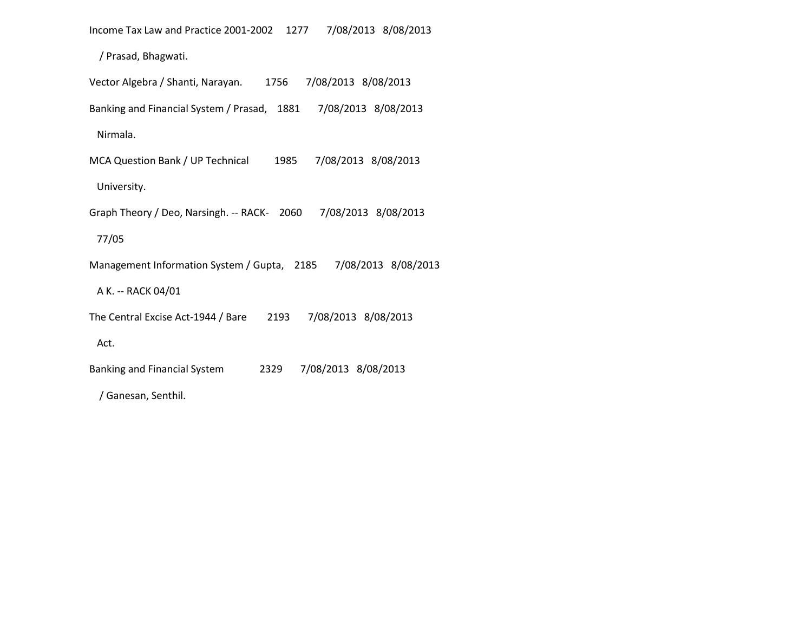Income Tax Law and Practice 2001-2002 1277 7/08/2013 8/08/2013

/ Prasad, Bhagwati.

| 7/08/2013 8/08/2013<br>Vector Algebra / Shanti, Narayan.<br>1756  |
|-------------------------------------------------------------------|
| Banking and Financial System / Prasad, 1881 7/08/2013 8/08/2013   |
| Nirmala.                                                          |
| 7/08/2013 8/08/2013<br>MCA Question Bank / UP Technical<br>1985   |
| University.                                                       |
| Graph Theory / Deo, Narsingh. -- RACK- 2060 7/08/2013 8/08/2013   |
| 77/05                                                             |
| Management Information System / Gupta, 2185 7/08/2013 8/08/2013   |
| A K. -- RACK 04/01                                                |
| The Central Excise Act-1944 / Bare<br>7/08/2013 8/08/2013<br>2193 |
| Act.                                                              |
| 7/08/2013 8/08/2013<br>Banking and Financial System<br>2329       |
| Ganesan, Senthil.                                                 |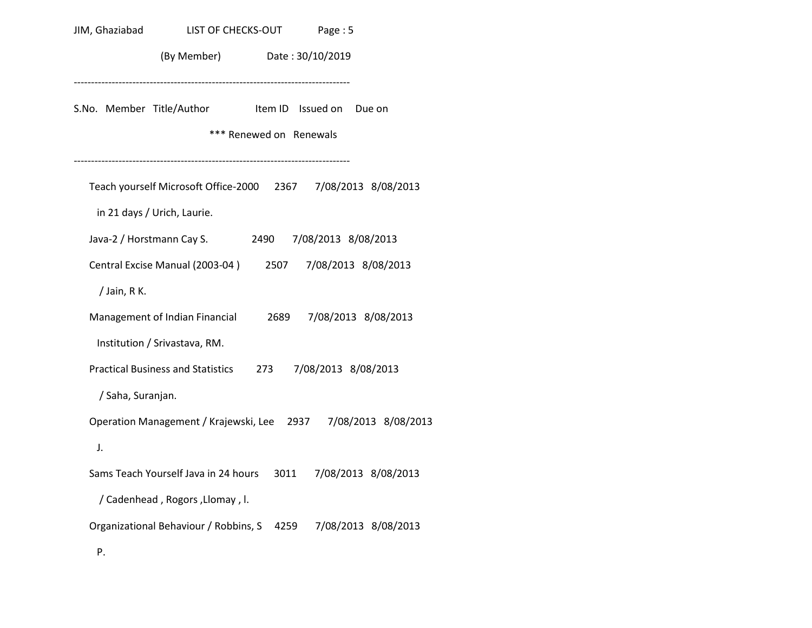|                   | JIM, Ghaziabad<br>LIST OF CHECKS-OUT Page: 5                                                 |                         |                     |        |
|-------------------|----------------------------------------------------------------------------------------------|-------------------------|---------------------|--------|
|                   | (By Member) Date: 30/10/2019                                                                 |                         |                     |        |
|                   | S.No. Member Title/Author                                                                    | *** Renewed on Renewals | Item ID Issued on   | Due on |
|                   | Teach yourself Microsoft Office-2000 2367 7/08/2013 8/08/2013<br>in 21 days / Urich, Laurie. |                         |                     |        |
|                   | Java-2 / Horstmann Cay S. 2490                                                               |                         | 7/08/2013 8/08/2013 |        |
|                   | Central Excise Manual (2003-04) 2507 7/08/2013 8/08/2013                                     |                         |                     |        |
| / Jain, R K.      |                                                                                              |                         |                     |        |
|                   | Management of Indian Financial 2689 7/08/2013 8/08/2013                                      |                         |                     |        |
|                   | Institution / Srivastava, RM.                                                                |                         |                     |        |
|                   | Practical Business and Statistics 273                                                        |                         | 7/08/2013 8/08/2013 |        |
| / Saha, Suranjan. |                                                                                              |                         |                     |        |
|                   | Operation Management / Krajewski, Lee 2937 7/08/2013 8/08/2013                               |                         |                     |        |
| J.                |                                                                                              |                         |                     |        |
|                   | Sams Teach Yourself Java in 24 hours 3011 7/08/2013 8/08/2013                                |                         |                     |        |
|                   | / Cadenhead, Rogors, Llomay, I.                                                              |                         |                     |        |
|                   | Organizational Behaviour / Robbins, S 4259 7/08/2013 8/08/2013                               |                         |                     |        |
| Ρ.                |                                                                                              |                         |                     |        |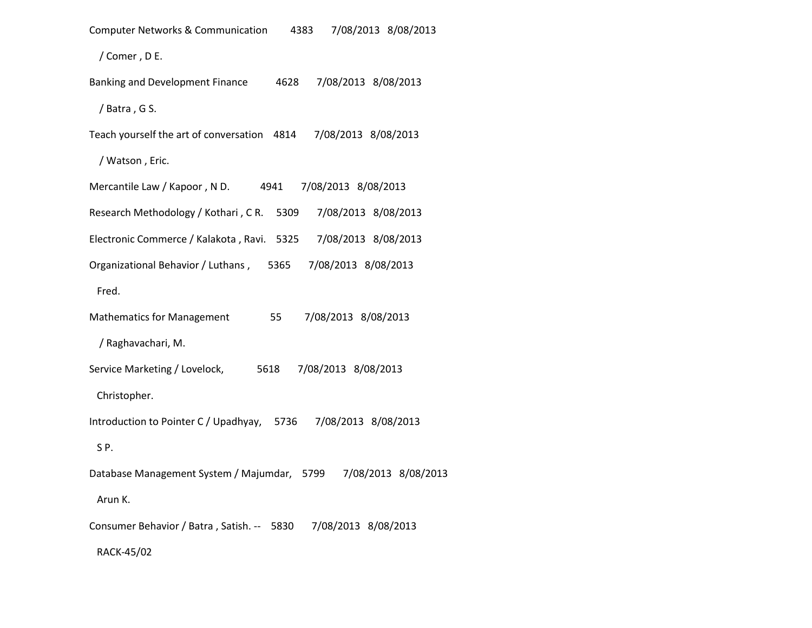| 7/08/2013 8/08/2013<br><b>Computer Networks &amp; Communication</b><br>4383 |
|-----------------------------------------------------------------------------|
| / Comer, DE.                                                                |
| Banking and Development Finance<br>7/08/2013 8/08/2013<br>4628              |
| / Batra, GS.                                                                |
| Teach yourself the art of conversation 4814<br>7/08/2013 8/08/2013          |
| / Watson, Eric.                                                             |
| Mercantile Law / Kapoor, ND.<br>7/08/2013 8/08/2013<br>4941                 |
| Research Methodology / Kothari, CR.<br>7/08/2013 8/08/2013<br>5309          |
| Electronic Commerce / Kalakota, Ravi. 5325<br>7/08/2013 8/08/2013           |
| Organizational Behavior / Luthans, 5365<br>7/08/2013 8/08/2013              |
| Fred.                                                                       |
| <b>Mathematics for Management</b><br>55<br>7/08/2013 8/08/2013              |
| / Raghavachari, M.                                                          |
| Service Marketing / Lovelock,<br>7/08/2013 8/08/2013<br>5618                |
| Christopher.                                                                |
| Introduction to Pointer C / Upadhyay, 5736<br>7/08/2013 8/08/2013           |
| SP.                                                                         |
| Database Management System / Majumdar, 5799<br>7/08/2013 8/08/2013          |
| Arun K.                                                                     |
| Consumer Behavior / Batra, Satish. -- 5830<br>7/08/2013 8/08/2013           |
| RACK-45/02                                                                  |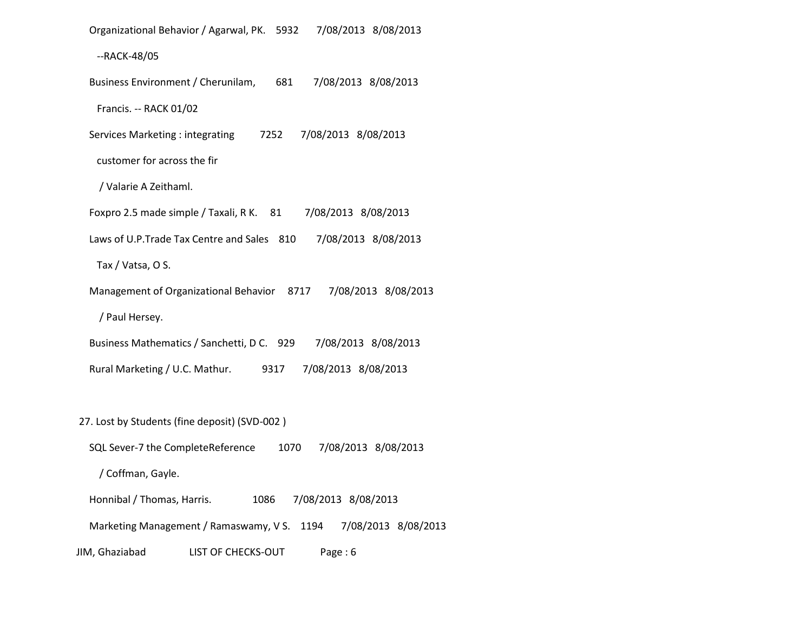Organizational Behavior / Agarwal, PK. 5932 7/08/2013 8/08/2013

--RACK-48/05

Business Environment / Cherunilam, 681 7/08/2013 8/08/2013

Francis. -- RACK 01/02

Services Marketing : integrating 7252 7/08/2013 8/08/2013

customer for across the fir

/ Valarie A Zeithaml.

Foxpro 2.5 made simple / Taxali, R K. 81 7/08/2013 8/08/2013

Laws of U.P.Trade Tax Centre and Sales 810 7/08/2013 8/08/2013

Tax / Vatsa, O S.

Management of Organizational Behavior 8717 7/08/2013 8/08/2013

/ Paul Hersey.

Business Mathematics / Sanchetti, D C. 929 7/08/2013 8/08/2013

Rural Marketing / U.C. Mathur. 9317 7/08/2013 8/08/2013

27. Lost by Students (fine deposit) (SVD-002 )

SQL Sever-7 the CompleteReference 1070 7/08/2013 8/08/2013

/ Coffman, Gayle.

Honnibal / Thomas, Harris. 1086 7/08/2013 8/08/2013

Marketing Management / Ramaswamy, V S. 1194 7/08/2013 8/08/2013

JIM, Ghaziabad LIST OF CHECKS-OUT Page : 6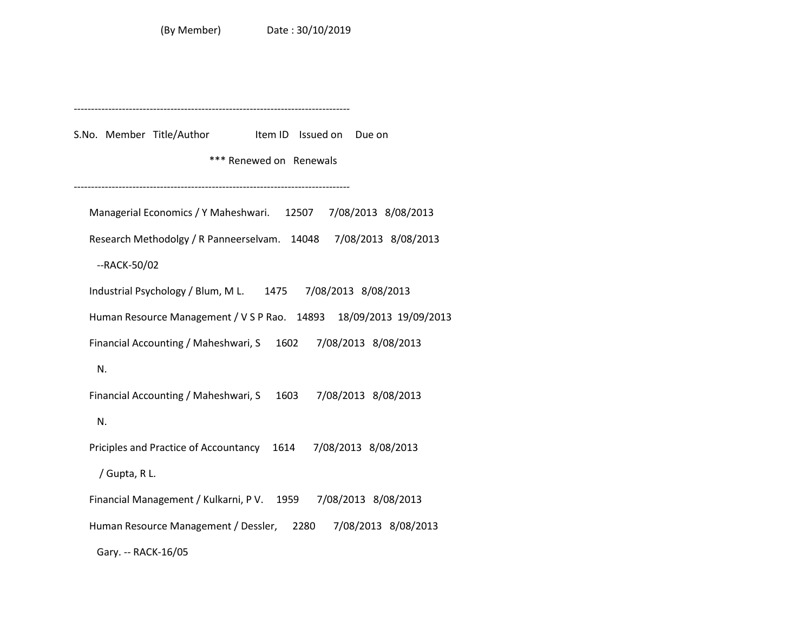--------------------------------------------------------------------------------

S.No. Member Title/Author Item ID Issued on Due on

\*\*\* Renewed on Renewals

--------------------------------------------------------------------------------

 Managerial Economics / Y Maheshwari. 12507 7/08/2013 8/08/2013 Research Methodolgy / R Panneerselvam. 14048 7/08/2013 8/08/2013 --RACK-50/02 Industrial Psychology / Blum, M L. 1475 7/08/2013 8/08/2013 Human Resource Management / V S P Rao. 14893 18/09/2013 19/09/2013 Financial Accounting / Maheshwari, S 1602 7/08/2013 8/08/2013 N. Financial Accounting / Maheshwari, S 1603 7/08/2013 8/08/2013 N. Priciples and Practice of Accountancy 1614 7/08/2013 8/08/2013 / Gupta, R L. Financial Management / Kulkarni, P V. 1959 7/08/2013 8/08/2013 Human Resource Management / Dessler, 2280 7/08/2013 8/08/2013 Gary. -- RACK-16/05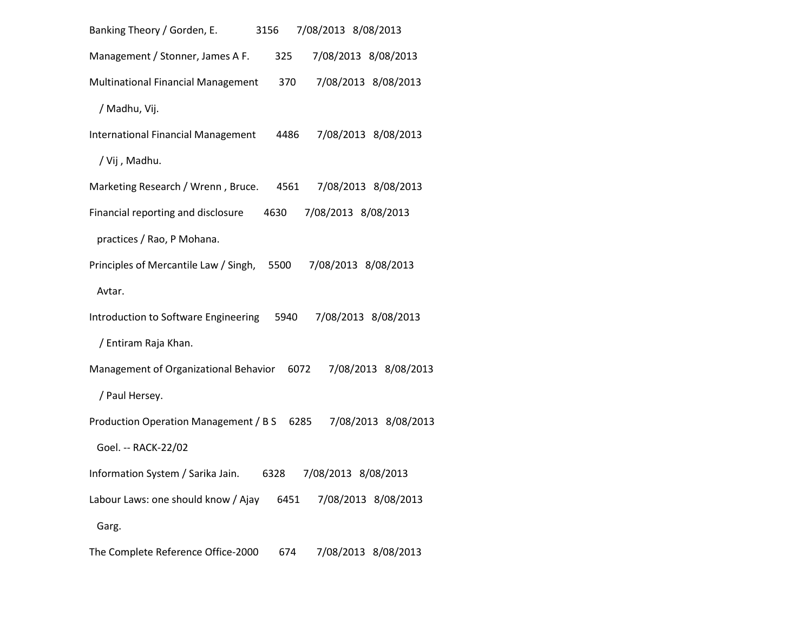| 7/08/2013 8/08/2013<br>Banking Theory / Gorden, E.<br>3156               |
|--------------------------------------------------------------------------|
| Management / Stonner, James A F.<br>7/08/2013 8/08/2013<br>325           |
| 7/08/2013 8/08/2013<br>Multinational Financial Management<br>370         |
| / Madhu, Vij.                                                            |
| 7/08/2013 8/08/2013<br><b>International Financial Management</b><br>4486 |
| / Vij , Madhu.                                                           |
| Marketing Research / Wrenn, Bruce.<br>7/08/2013 8/08/2013<br>4561        |
| 7/08/2013 8/08/2013<br>Financial reporting and disclosure<br>4630        |
| practices / Rao, P Mohana.                                               |
| Principles of Mercantile Law / Singh,<br>5500<br>7/08/2013 8/08/2013     |
| Avtar.                                                                   |
| 7/08/2013 8/08/2013<br>Introduction to Software Engineering<br>5940      |
| / Entiram Raja Khan.                                                     |
| Management of Organizational Behavior<br>6072<br>7/08/2013 8/08/2013     |
| / Paul Hersey.                                                           |
| Production Operation Management / B S<br>7/08/2013 8/08/2013<br>6285     |
| Goel. -- RACK-22/02                                                      |
| Information System / Sarika Jain.<br>7/08/2013 8/08/2013<br>6328         |
| Labour Laws: one should know / Ajay<br>6451<br>7/08/2013 8/08/2013       |
| Garg.                                                                    |
| The Complete Reference Office-2000<br>7/08/2013 8/08/2013<br>674         |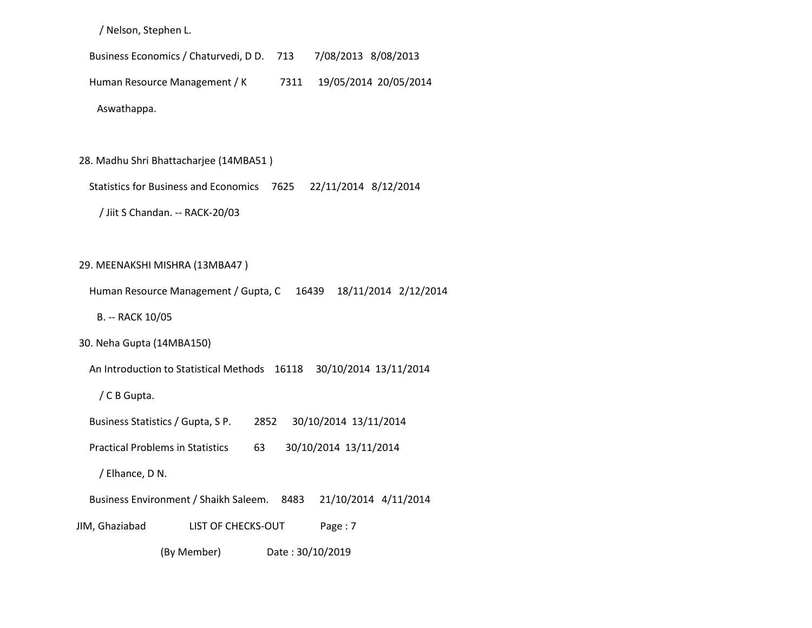/ Nelson, Stephen L.

Business Economics / Chaturvedi, D D. 713 7/08/2013 8/08/2013

Human Resource Management / K 7311 19/05/2014 20/05/2014

Aswathappa.

28. Madhu Shri Bhattacharjee (14MBA51 )

Statistics for Business and Economics 7625 22/11/2014 8/12/2014

/ Jiit S Chandan. -- RACK-20/03

29. MEENAKSHI MISHRA (13MBA47 )

Human Resource Management / Gupta, C 16439 18/11/2014 2/12/2014

B. -- RACK 10/05

30. Neha Gupta (14MBA150)

An Introduction to Statistical Methods 16118 30/10/2014 13/11/2014

/ C B Gupta.

Business Statistics / Gupta, S P. 2852 30/10/2014 13/11/2014

Practical Problems in Statistics 63 30/10/2014 13/11/2014

/ Elhance, D N.

Business Environment / Shaikh Saleem. 8483 21/10/2014 4/11/2014

JIM, Ghaziabad LIST OF CHECKS-OUT Page : 7

(By Member) Date : 30/10/2019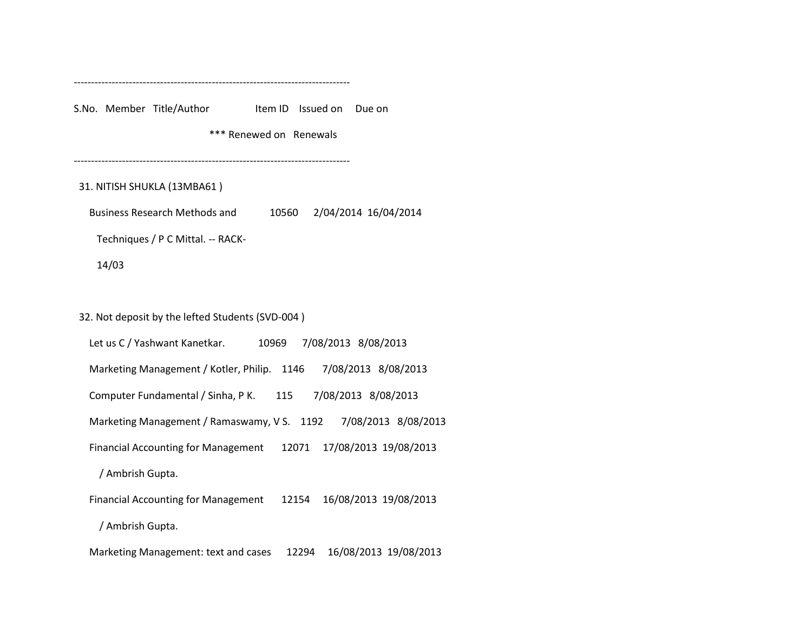--------------------------------------------------------------------------------

S.No. Member Title/Author Item ID Issued on Due on

\*\*\* Renewed on Renewals

--------------------------------------------------------------------------------

#### 31. NITISH SHUKLA (13MBA61 )

Business Research Methods and 10560 2/04/2014 16/04/2014

Techniques / P C Mittal. -- RACK-

14/03

#### 32. Not deposit by the lefted Students (SVD-004 )

 Let us C / Yashwant Kanetkar. 10969 7/08/2013 8/08/2013 Marketing Management / Kotler, Philip. 1146 7/08/2013 8/08/2013 Computer Fundamental / Sinha, P K. 115 7/08/2013 8/08/2013 Marketing Management / Ramaswamy, V S. 1192 7/08/2013 8/08/2013 Financial Accounting for Management 12071 17/08/2013 19/08/2013 / Ambrish Gupta. Financial Accounting for Management 12154 16/08/2013 19/08/2013 / Ambrish Gupta.

Marketing Management: text and cases 12294 16/08/2013 19/08/2013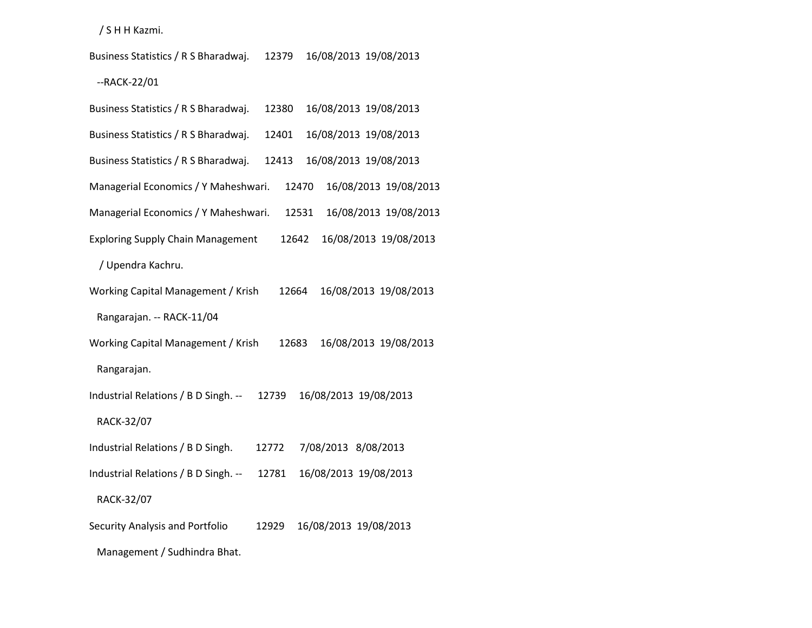/ S H H Kazmi.

 Business Statistics / R S Bharadwaj. 12379 16/08/2013 19/08/2013 --RACK-22/01

| Business Statistics / R S Bharadwaj.     | 12380 |                       | 16/08/2013 19/08/2013 |
|------------------------------------------|-------|-----------------------|-----------------------|
| Business Statistics / R S Bharadwaj.     | 12401 |                       | 16/08/2013 19/08/2013 |
| Business Statistics / R S Bharadwaj.     | 12413 |                       | 16/08/2013 19/08/2013 |
| Managerial Economics / Y Maheshwari.     | 12470 |                       | 16/08/2013 19/08/2013 |
| Managerial Economics / Y Maheshwari.     | 12531 |                       | 16/08/2013 19/08/2013 |
| <b>Exploring Supply Chain Management</b> | 12642 |                       | 16/08/2013 19/08/2013 |
| / Upendra Kachru.                        |       |                       |                       |
| Working Capital Management / Krish       | 12664 |                       | 16/08/2013 19/08/2013 |
| Rangarajan. -- RACK-11/04                |       |                       |                       |
| Working Capital Management / Krish       | 12683 |                       | 16/08/2013 19/08/2013 |
| Rangarajan.                              |       |                       |                       |
| Industrial Relations / B D Singh. --     | 12739 | 16/08/2013 19/08/2013 |                       |
| RACK-32/07                               |       |                       |                       |
| Industrial Relations / B D Singh.        | 12772 | 7/08/2013 8/08/2013   |                       |
| Industrial Relations / B D Singh. --     | 12781 | 16/08/2013 19/08/2013 |                       |
| RACK-32/07                               |       |                       |                       |
| Security Analysis and Portfolio          | 12929 | 16/08/2013 19/08/2013 |                       |
| Management / Sudhindra Bhat.             |       |                       |                       |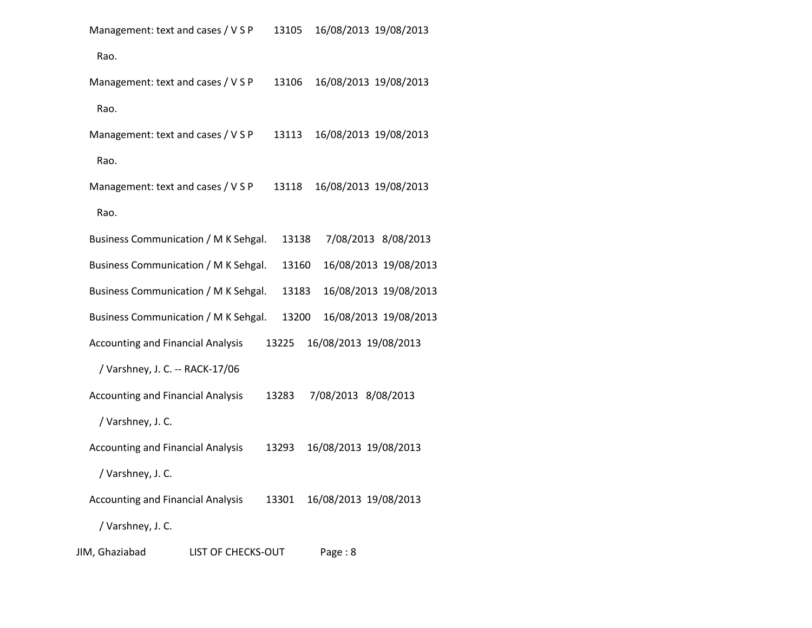| Management: text and cases / V S P |  | 13105 16/08/2013 19/08/2013 |  |
|------------------------------------|--|-----------------------------|--|
|------------------------------------|--|-----------------------------|--|

Rao.

| Management: text and cases / V S P       |                           | 13106 |                     | 16/08/2013 19/08/2013 |
|------------------------------------------|---------------------------|-------|---------------------|-----------------------|
| Rao.                                     |                           |       |                     |                       |
| Management: text and cases / V S P       |                           | 13113 |                     | 16/08/2013 19/08/2013 |
| Rao.                                     |                           |       |                     |                       |
| Management: text and cases / V S P       |                           | 13118 |                     | 16/08/2013 19/08/2013 |
| Rao.                                     |                           |       |                     |                       |
| Business Communication / M K Sehgal.     |                           | 13138 |                     | 7/08/2013 8/08/2013   |
| Business Communication / M K Sehgal.     |                           | 13160 |                     | 16/08/2013 19/08/2013 |
| Business Communication / M K Sehgal.     |                           | 13183 |                     | 16/08/2013 19/08/2013 |
| Business Communication / M K Sehgal.     |                           | 13200 |                     | 16/08/2013 19/08/2013 |
| <b>Accounting and Financial Analysis</b> |                           | 13225 |                     | 16/08/2013 19/08/2013 |
| / Varshney, J. C. -- RACK-17/06          |                           |       |                     |                       |
| <b>Accounting and Financial Analysis</b> |                           | 13283 | 7/08/2013 8/08/2013 |                       |
| / Varshney, J. C.                        |                           |       |                     |                       |
| <b>Accounting and Financial Analysis</b> |                           | 13293 |                     | 16/08/2013 19/08/2013 |
| / Varshney, J.C.                         |                           |       |                     |                       |
| <b>Accounting and Financial Analysis</b> |                           | 13301 |                     | 16/08/2013 19/08/2013 |
| / Varshney, J. C.                        |                           |       |                     |                       |
| JIM, Ghaziabad                           | <b>LIST OF CHECKS-OUT</b> |       | Page: 8             |                       |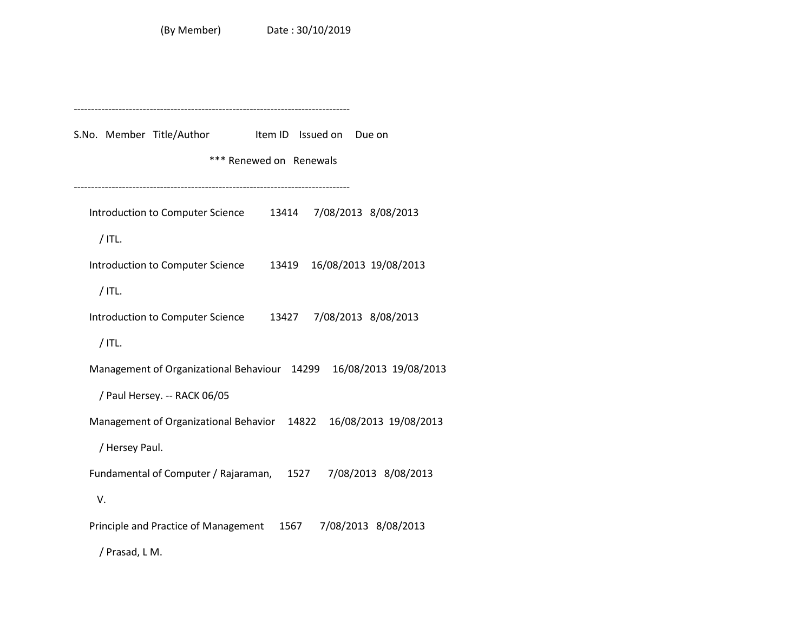-------------------------------------------------------------------------------- S.No. Member Title/Author Item ID Issued on Due on \*\*\* Renewed on Renewals -------------------------------------------------------------------------------- Introduction to Computer Science 13414 7/08/2013 8/08/2013 / ITL. Introduction to Computer Science 13419 16/08/2013 19/08/2013 / ITL. Introduction to Computer Science 13427 7/08/2013 8/08/2013 / ITL. Management of Organizational Behaviour 14299 16/08/2013 19/08/2013 / Paul Hersey. -- RACK 06/05 Management of Organizational Behavior 14822 16/08/2013 19/08/2013 / Hersey Paul. Fundamental of Computer / Rajaraman, 1527 7/08/2013 8/08/2013 V. Principle and Practice of Management 1567 7/08/2013 8/08/2013 / Prasad, L M.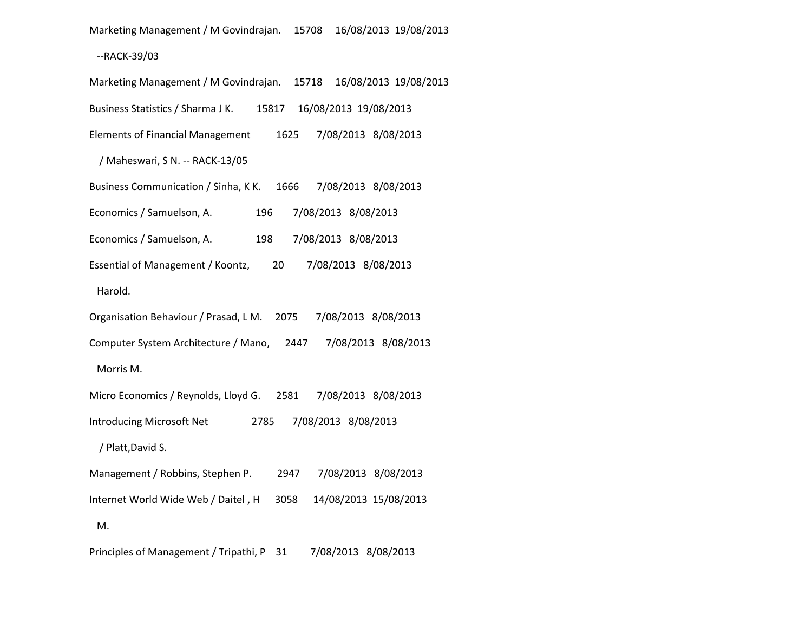Marketing Management / M Govindrajan. 15708 16/08/2013 19/08/2013

# --RACK-39/03

| Marketing Management / M Govindrajan.<br>16/08/2013 19/08/2013<br>15718 |
|-------------------------------------------------------------------------|
| Business Statistics / Sharma J K.<br>15817 16/08/2013 19/08/2013        |
| 7/08/2013 8/08/2013<br><b>Elements of Financial Management</b><br>1625  |
| / Maheswari, S N. -- RACK-13/05                                         |
| Business Communication / Sinha, K K.<br>1666<br>7/08/2013 8/08/2013     |
| Economics / Samuelson, A.<br>196<br>7/08/2013 8/08/2013                 |
| 7/08/2013 8/08/2013<br>Economics / Samuelson, A.<br>198                 |
| Essential of Management / Koontz,<br>20<br>7/08/2013 8/08/2013          |
| Harold.                                                                 |
| Organisation Behaviour / Prasad, L M. 2075<br>7/08/2013 8/08/2013       |
| Computer System Architecture / Mano,<br>7/08/2013 8/08/2013<br>2447     |
| Morris M.                                                               |
| Micro Economics / Reynolds, Lloyd G. 2581<br>7/08/2013 8/08/2013        |
| Introducing Microsoft Net<br>7/08/2013 8/08/2013<br>2785                |
| / Platt, David S.                                                       |
| Management / Robbins, Stephen P.<br>2947<br>7/08/2013 8/08/2013         |
| 14/08/2013 15/08/2013<br>Internet World Wide Web / Daitel, H<br>3058    |
| M.                                                                      |
|                                                                         |

Principles of Management / Tripathi, P 31 7/08/2013 8/08/2013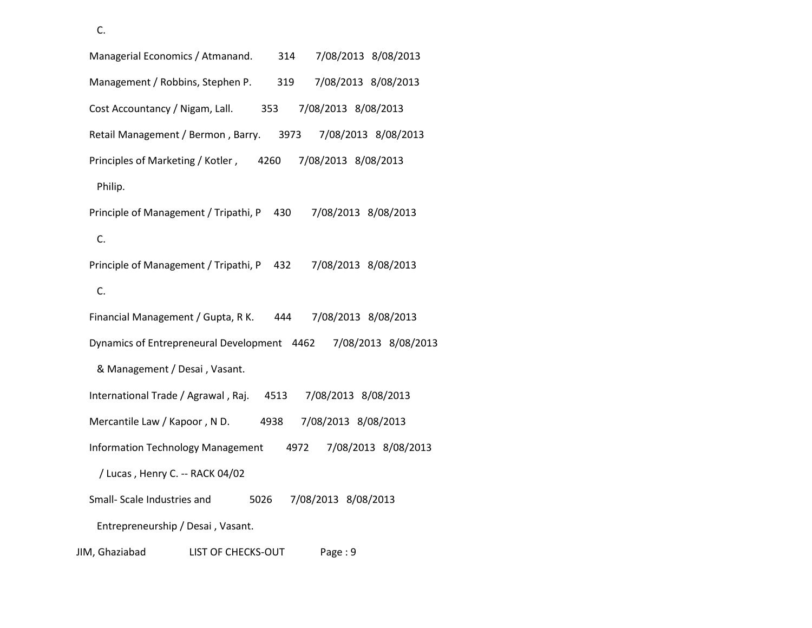C.

 Managerial Economics / Atmanand. 314 7/08/2013 8/08/2013 Management / Robbins, Stephen P. 319 7/08/2013 8/08/2013 Cost Accountancy / Nigam, Lall. 353 7/08/2013 8/08/2013 Retail Management / Bermon , Barry. 3973 7/08/2013 8/08/2013 Principles of Marketing / Kotler , 4260 7/08/2013 8/08/2013 Philip. Principle of Management / Tripathi, P 430 7/08/2013 8/08/2013 C. Principle of Management / Tripathi, P 432 7/08/2013 8/08/2013 C. Financial Management / Gupta, R K. 444 7/08/2013 8/08/2013 Dynamics of Entrepreneural Development 4462 7/08/2013 8/08/2013 & Management / Desai , Vasant. International Trade / Agrawal , Raj. 4513 7/08/2013 8/08/2013 Mercantile Law / Kapoor , N D. 4938 7/08/2013 8/08/2013 Information Technology Management 4972 7/08/2013 8/08/2013 / Lucas , Henry C. -- RACK 04/02 Small- Scale Industries and 5026 7/08/2013 8/08/2013 Entrepreneurship / Desai , Vasant. JIM, Ghaziabad LIST OF CHECKS-OUT Page : 9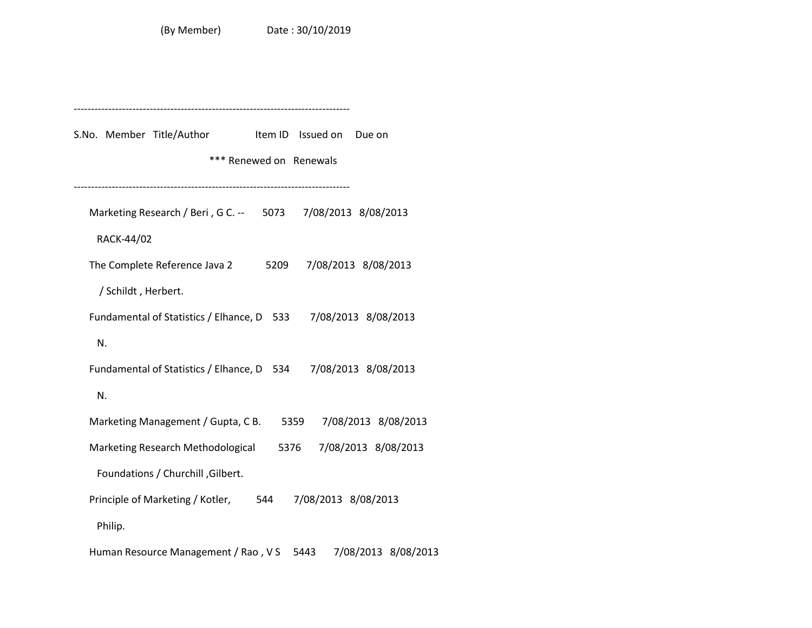-------------------------------------------------------------------------------- S.No. Member Title/Author Item ID Issued on Due on \*\*\* Renewed on Renewals -------------------------------------------------------------------------------- Marketing Research / Beri , G C. -- 5073 7/08/2013 8/08/2013 RACK-44/02 The Complete Reference Java 2 5209 7/08/2013 8/08/2013 / Schildt , Herbert. Fundamental of Statistics / Elhance, D 533 7/08/2013 8/08/2013 N. Fundamental of Statistics / Elhance, D 534 7/08/2013 8/08/2013 N. Marketing Management / Gupta, C B. 5359 7/08/2013 8/08/2013 Marketing Research Methodological 5376 7/08/2013 8/08/2013 Foundations / Churchill ,Gilbert. Principle of Marketing / Kotler, 544 7/08/2013 8/08/2013 Philip. Human Resource Management / Rao , V S 5443 7/08/2013 8/08/2013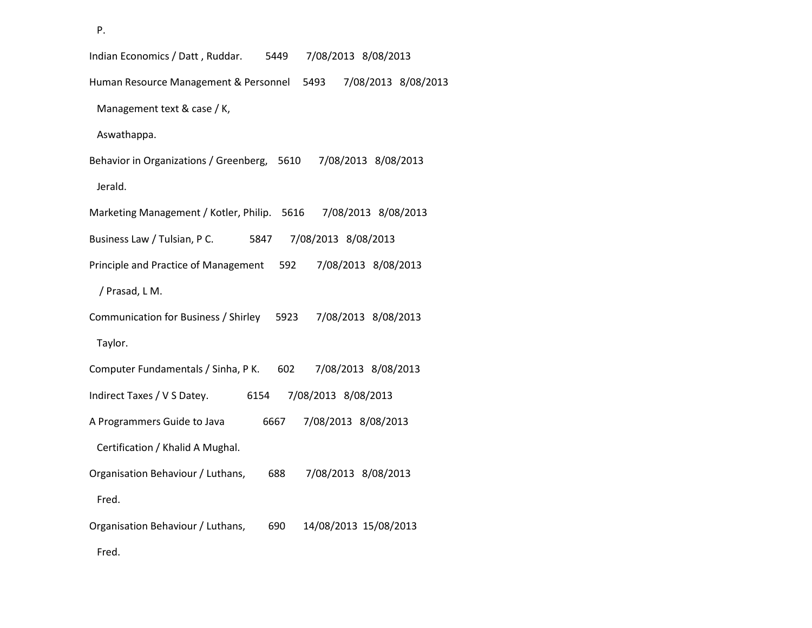P.

 Indian Economics / Datt , Ruddar. 5449 7/08/2013 8/08/2013 Human Resource Management & Personnel 5493 7/08/2013 8/08/2013 Management text & case / K, Aswathappa. Behavior in Organizations / Greenberg, 5610 7/08/2013 8/08/2013 Jerald. Marketing Management / Kotler, Philip. 5616 7/08/2013 8/08/2013 Business Law / Tulsian, P C. 5847 7/08/2013 8/08/2013 Principle and Practice of Management 592 7/08/2013 8/08/2013 / Prasad, L M. Communication for Business / Shirley 5923 7/08/2013 8/08/2013 Taylor. Computer Fundamentals / Sinha, P K. 602 7/08/2013 8/08/2013 Indirect Taxes / V S Datey. 6154 7/08/2013 8/08/2013 A Programmers Guide to Java 6667 7/08/2013 8/08/2013 Certification / Khalid A Mughal. Organisation Behaviour / Luthans, 688 7/08/2013 8/08/2013 Fred. Organisation Behaviour / Luthans, 690 14/08/2013 15/08/2013 Fred.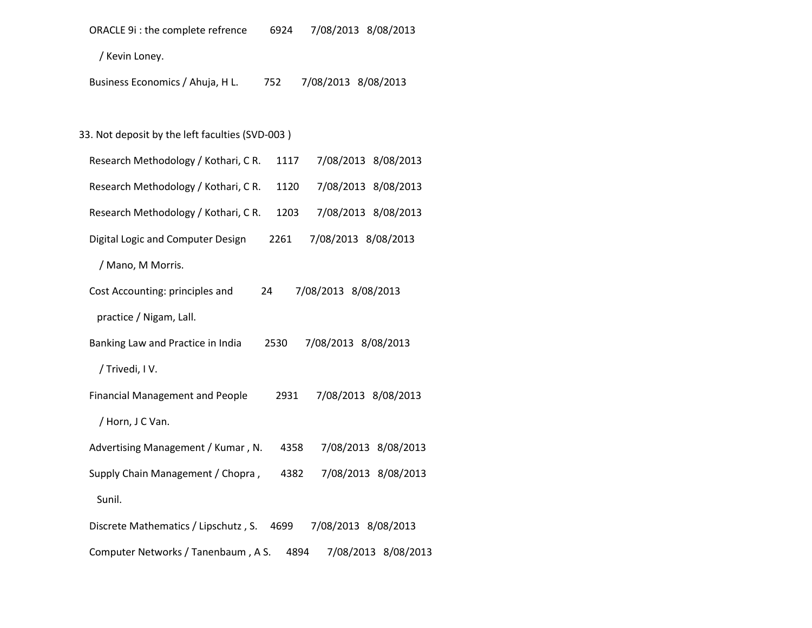| ORACLE 9i : the complete refrence<br>7/08/2013 8/08/2013<br>6924      |  |
|-----------------------------------------------------------------------|--|
| / Kevin Loney.                                                        |  |
| Business Economics / Ahuja, H L.<br>7/08/2013 8/08/2013<br>752        |  |
|                                                                       |  |
| 33. Not deposit by the left faculties (SVD-003)                       |  |
| Research Methodology / Kothari, CR.<br>7/08/2013 8/08/2013<br>1117    |  |
| Research Methodology / Kothari, CR.<br>7/08/2013 8/08/2013<br>1120    |  |
| Research Methodology / Kothari, CR.<br>7/08/2013 8/08/2013<br>1203    |  |
| 7/08/2013 8/08/2013<br>Digital Logic and Computer Design<br>2261      |  |
| / Mano, M Morris.                                                     |  |
| Cost Accounting: principles and<br>7/08/2013 8/08/2013<br>24          |  |
| practice / Nigam, Lall.                                               |  |
| Banking Law and Practice in India<br>7/08/2013 8/08/2013<br>2530      |  |
| / Trivedi, IV.                                                        |  |
| <b>Financial Management and People</b><br>7/08/2013 8/08/2013<br>2931 |  |
| / Horn, J C Van.                                                      |  |
| Advertising Management / Kumar, N.<br>7/08/2013 8/08/2013<br>4358     |  |

Supply Chain Management / Chopra , 4382 7/08/2013 8/08/2013

Sunil.

Discrete Mathematics / Lipschutz , S. 4699 7/08/2013 8/08/2013

Computer Networks / Tanenbaum , A S. 4894 7/08/2013 8/08/2013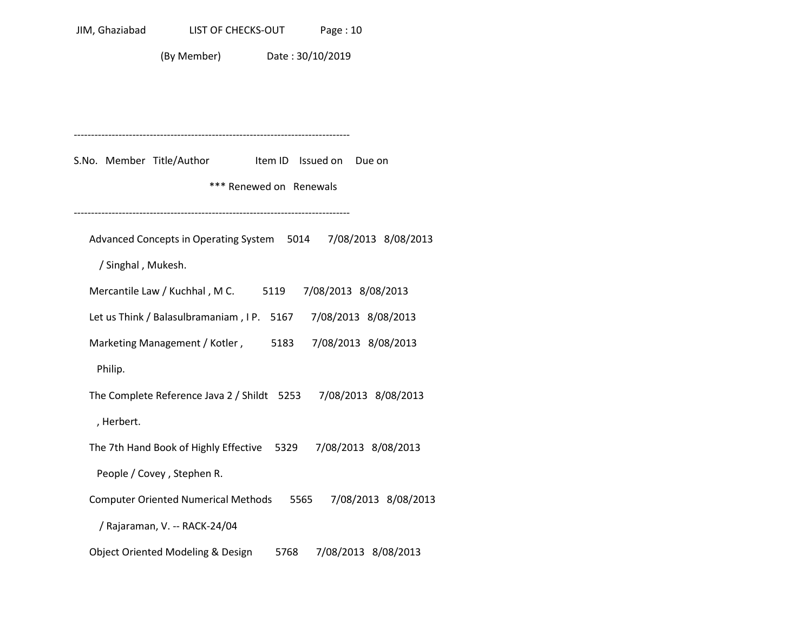(By Member) Date : 30/10/2019

-------------------------------------------------------------------------------- S.No. Member Title/Author Item ID Issued on Due on \*\*\* Renewed on Renewals -------------------------------------------------------------------------------- Advanced Concepts in Operating System 5014 7/08/2013 8/08/2013 / Singhal , Mukesh. Mercantile Law / Kuchhal , M C. 5119 7/08/2013 8/08/2013 Let us Think / Balasulbramaniam , I P. 5167 7/08/2013 8/08/2013 Marketing Management / Kotler , 5183 7/08/2013 8/08/2013 Philip. The Complete Reference Java 2 / Shildt 5253 7/08/2013 8/08/2013 , Herbert. The 7th Hand Book of Highly Effective 5329 7/08/2013 8/08/2013 People / Covey , Stephen R. Computer Oriented Numerical Methods 5565 7/08/2013 8/08/2013 / Rajaraman, V. -- RACK-24/04 Object Oriented Modeling & Design 5768 7/08/2013 8/08/2013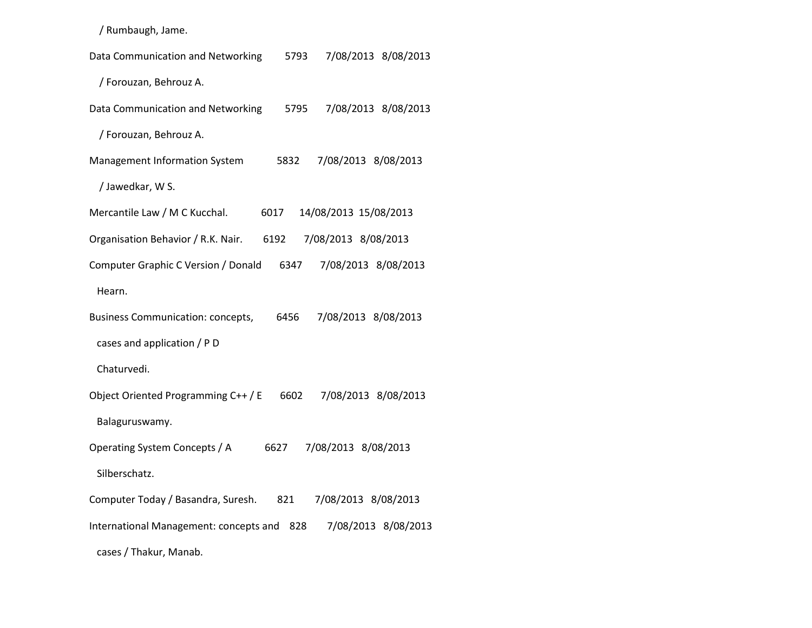/ Rumbaugh, Jame.

| Data Communication and Networking<br>7/08/2013 8/08/2013<br>5793        |
|-------------------------------------------------------------------------|
| / Forouzan, Behrouz A.                                                  |
| Data Communication and Networking<br>7/08/2013 8/08/2013<br>5795        |
| / Forouzan, Behrouz A.                                                  |
| Management Information System<br>7/08/2013 8/08/2013<br>5832            |
| / Jawedkar, W S.                                                        |
| Mercantile Law / M C Kucchal.<br>14/08/2013 15/08/2013<br>6017          |
| 7/08/2013 8/08/2013<br>Organisation Behavior / R.K. Nair.<br>6192       |
| Computer Graphic C Version / Donald<br>7/08/2013 8/08/2013<br>6347      |
| Hearn.                                                                  |
| 7/08/2013 8/08/2013<br><b>Business Communication: concepts,</b><br>6456 |
| cases and application / P D                                             |
| Chaturvedi.                                                             |
| Object Oriented Programming C++ / E<br>6602<br>7/08/2013 8/08/2013      |
| Balaguruswamy.                                                          |
| Operating System Concepts / A<br>7/08/2013 8/08/2013<br>6627            |
| Silberschatz.                                                           |
| Computer Today / Basandra, Suresh.<br>7/08/2013 8/08/2013<br>821        |
| International Management: concepts and<br>7/08/2013 8/08/2013<br>828    |
| cases / Thakur, Manab.                                                  |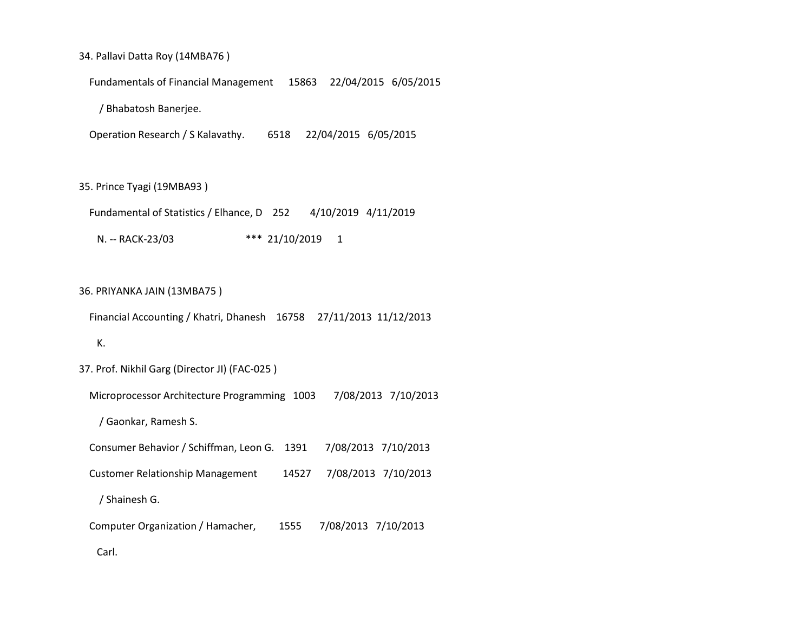#### 34. Pallavi Datta Roy (14MBA76 )

Fundamentals of Financial Management 15863 22/04/2015 6/05/2015

/ Bhabatosh Banerjee.

Operation Research / S Kalavathy. 6518 22/04/2015 6/05/2015

35. Prince Tyagi (19MBA93 )

 Fundamental of Statistics / Elhance, D 252 4/10/2019 4/11/2019 N. -- RACK-23/03 \*\*\* 21/10/2019 1

### 36. PRIYANKA JAIN (13MBA75 )

Financial Accounting / Khatri, Dhanesh 16758 27/11/2013 11/12/2013

## K.

37. Prof. Nikhil Garg (Director JI) (FAC-025 )

Microprocessor Architecture Programming 1003 7/08/2013 7/10/2013

/ Gaonkar, Ramesh S.

Consumer Behavior / Schiffman, Leon G. 1391 7/08/2013 7/10/2013

Customer Relationship Management 14527 7/08/2013 7/10/2013

/ Shainesh G.

Computer Organization / Hamacher, 1555 7/08/2013 7/10/2013

Carl.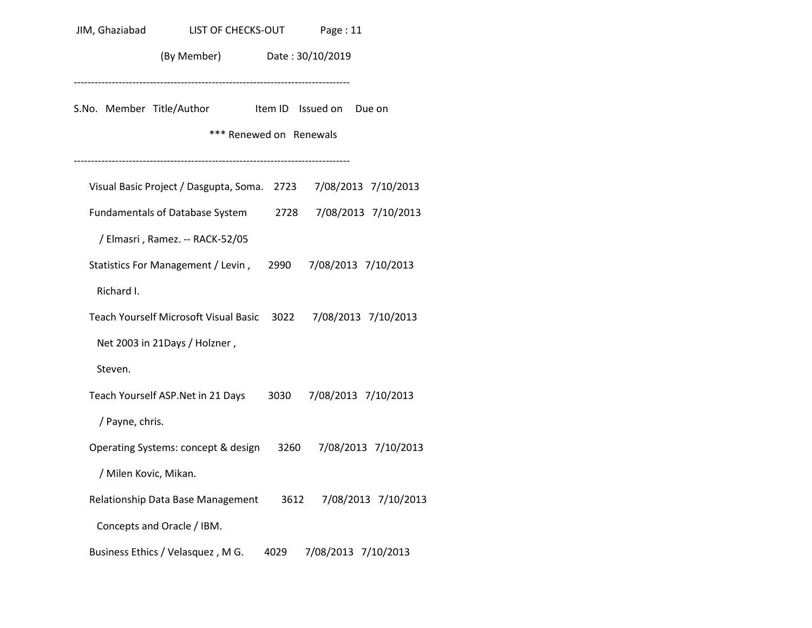| JIM, Ghaziabad        | LIST OF CHECKS-OUT                                                            | Page: 11 |                     |
|-----------------------|-------------------------------------------------------------------------------|----------|---------------------|
|                       | (By Member) Date: 30/10/2019                                                  |          |                     |
|                       | S.No. Member Title/Author ltem ID Issued on Due on<br>*** Renewed on Renewals |          |                     |
|                       | Visual Basic Project / Dasgupta, Soma. 2723 7/08/2013 7/10/2013               |          |                     |
|                       | Fundamentals of Database System 2728 7/08/2013 7/10/2013                      |          |                     |
|                       | / Elmasri, Ramez. -- RACK-52/05                                               |          |                     |
|                       | Statistics For Management / Levin, 2990 7/08/2013 7/10/2013                   |          |                     |
| Richard I.            |                                                                               |          |                     |
|                       | Teach Yourself Microsoft Visual Basic 3022 7/08/2013 7/10/2013                |          |                     |
|                       | Net 2003 in 21Days / Holzner,                                                 |          |                     |
| Steven.               |                                                                               |          |                     |
|                       | Teach Yourself ASP. Net in 21 Days 3030 7/08/2013 7/10/2013                   |          |                     |
| / Payne, chris.       |                                                                               |          |                     |
|                       | Operating Systems: concept & design 3260 7/08/2013 7/10/2013                  |          |                     |
| / Milen Kovic, Mikan. |                                                                               |          |                     |
|                       | Relationship Data Base Management 3612 7/08/2013 7/10/2013                    |          |                     |
|                       | Concepts and Oracle / IBM.                                                    |          |                     |
|                       | Business Ethics / Velasquez, M G. 4029                                        |          | 7/08/2013 7/10/2013 |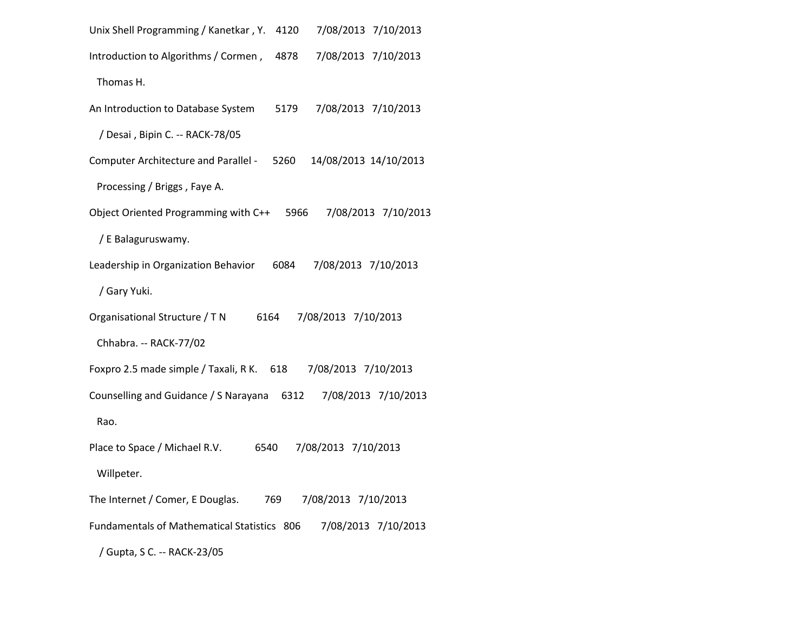| Unix Shell Programming / Kanetkar, Y.<br>4120 | 7/08/2013 7/10/2013   |
|-----------------------------------------------|-----------------------|
| Introduction to Algorithms / Cormen,<br>4878  | 7/08/2013 7/10/2013   |
| Thomas H.                                     |                       |
| An Introduction to Database System<br>5179    | 7/08/2013 7/10/2013   |
| / Desai, Bipin C. -- RACK-78/05               |                       |
| Computer Architecture and Parallel - 5260     | 14/08/2013 14/10/2013 |
| Processing / Briggs, Faye A.                  |                       |
| Object Oriented Programming with C++<br>5966  | 7/08/2013 7/10/2013   |
| / E Balaguruswamy.                            |                       |
| Leadership in Organization Behavior<br>6084   | 7/08/2013 7/10/2013   |
| / Gary Yuki.                                  |                       |
| Organisational Structure / T N<br>6164        | 7/08/2013 7/10/2013   |
| Chhabra. -- RACK-77/02                        |                       |
| Foxpro 2.5 made simple / Taxali, R K. 618     | 7/08/2013 7/10/2013   |
| Counselling and Guidance / S Narayana<br>6312 | 7/08/2013 7/10/2013   |
| Rao.                                          |                       |
| Place to Space / Michael R.V.<br>6540         | 7/08/2013 7/10/2013   |
| Willpeter.                                    |                       |
| The Internet / Comer, E Douglas.<br>769       | 7/08/2013 7/10/2013   |
| Fundamentals of Mathematical Statistics 806   | 7/08/2013 7/10/2013   |
| / Gupta, S C. -- RACK-23/05                   |                       |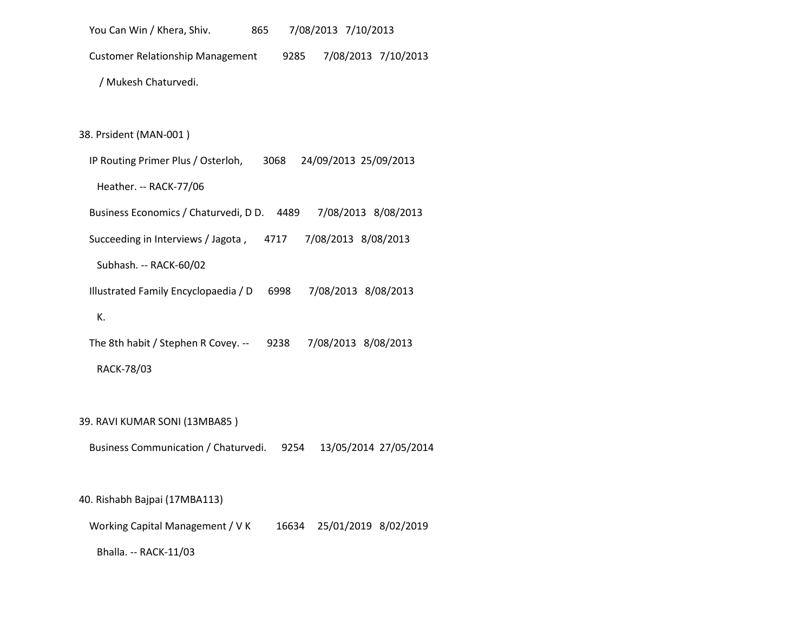You Can Win / Khera, Shiv. 865 7/08/2013 7/10/2013 Customer Relationship Management 9285 7/08/2013 7/10/2013 / Mukesh Chaturvedi.

38. Prsident (MAN-001 )

 IP Routing Primer Plus / Osterloh, 3068 24/09/2013 25/09/2013 Heather. -- RACK-77/06 Business Economics / Chaturvedi, D D. 4489 7/08/2013 8/08/2013 Succeeding in Interviews / Jagota , 4717 7/08/2013 8/08/2013 Subhash. -- RACK-60/02 Illustrated Family Encyclopaedia / D 6998 7/08/2013 8/08/2013 K. The 8th habit / Stephen R Covey. -- 9238 7/08/2013 8/08/2013

RACK-78/03

39. RAVI KUMAR SONI (13MBA85 )

Business Communication / Chaturvedi. 9254 13/05/2014 27/05/2014

40. Rishabh Bajpai (17MBA113)

Working Capital Management / V K 16634 25/01/2019 8/02/2019

Bhalla. -- RACK-11/03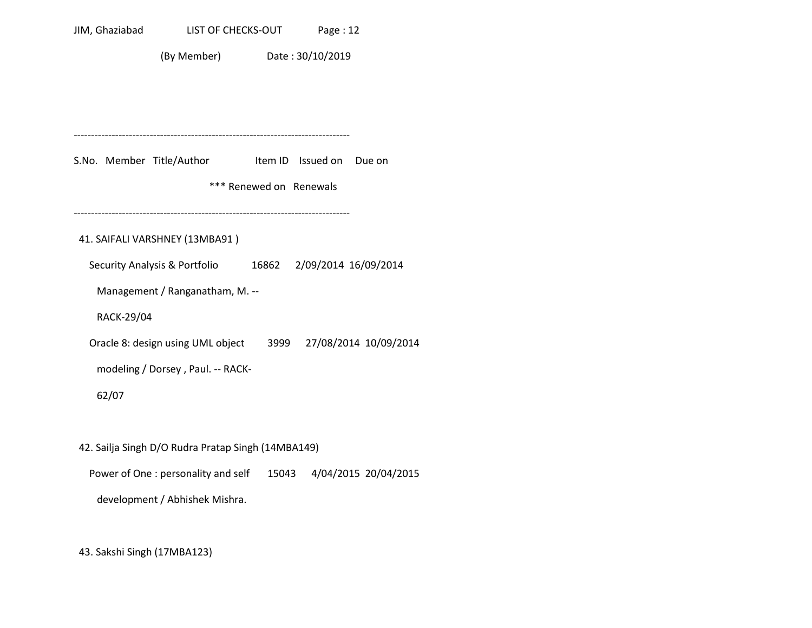(By Member) Date : 30/10/2019

-------------------------------------------------------------------------------- S.No. Member Title/Author Item ID Issued on Due on \*\*\* Renewed on Renewals -------------------------------------------------------------------------------- 41. SAIFALI VARSHNEY (13MBA91 ) Security Analysis & Portfolio 16862 2/09/2014 16/09/2014 Management / Ranganatham, M. -- RACK-29/04 Oracle 8: design using UML object 3999 27/08/2014 10/09/2014 modeling / Dorsey , Paul. -- RACK- 62/07 42. Sailja Singh D/O Rudra Pratap Singh (14MBA149) Power of One : personality and self 15043 4/04/2015 20/04/2015 development / Abhishek Mishra.

43. Sakshi Singh (17MBA123)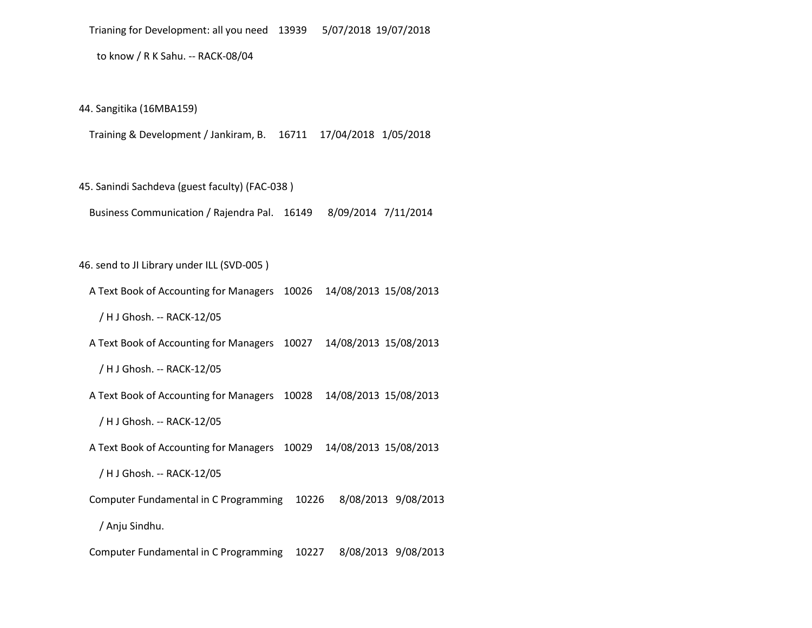to know / R K Sahu. -- RACK-08/04

44. Sangitika (16MBA159)

Training & Development / Jankiram, B. 16711 17/04/2018 1/05/2018

45. Sanindi Sachdeva (guest faculty) (FAC-038 )

Business Communication / Rajendra Pal. 16149 8/09/2014 7/11/2014

46. send to JI Library under ILL (SVD-005 )

A Text Book of Accounting for Managers 10026 14/08/2013 15/08/2013

/ H J Ghosh. -- RACK-12/05

A Text Book of Accounting for Managers 10027 14/08/2013 15/08/2013

/ H J Ghosh. -- RACK-12/05

A Text Book of Accounting for Managers 10028 14/08/2013 15/08/2013

/ H J Ghosh. -- RACK-12/05

A Text Book of Accounting for Managers 10029 14/08/2013 15/08/2013

/ H J Ghosh. -- RACK-12/05

Computer Fundamental in C Programming 10226 8/08/2013 9/08/2013

/ Anju Sindhu.

Computer Fundamental in C Programming 10227 8/08/2013 9/08/2013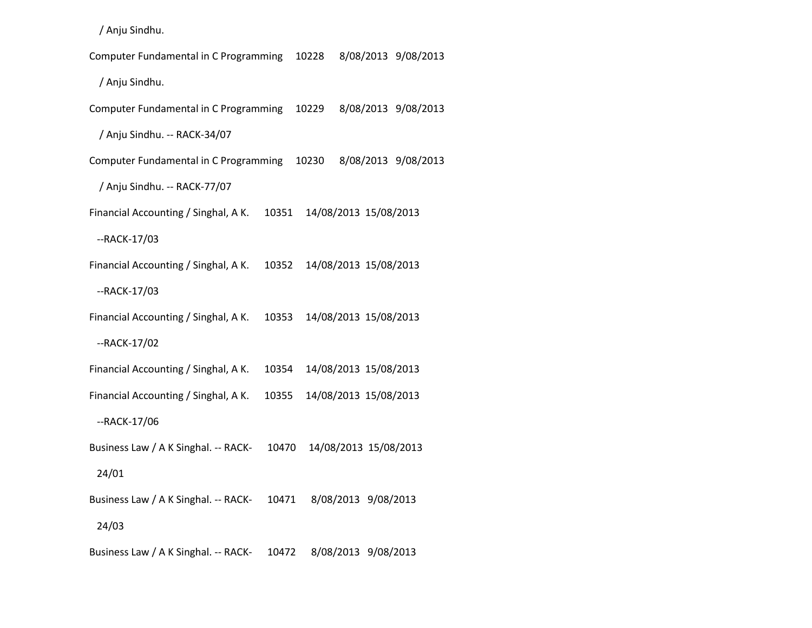/ Anju Sindhu.

 Computer Fundamental in C Programming 10228 8/08/2013 9/08/2013 / Anju Sindhu. Computer Fundamental in C Programming 10229 8/08/2013 9/08/2013 / Anju Sindhu. -- RACK-34/07 Computer Fundamental in C Programming 10230 8/08/2013 9/08/2013 / Anju Sindhu. -- RACK-77/07 Financial Accounting / Singhal, A K. 10351 14/08/2013 15/08/2013 --RACK-17/03 Financial Accounting / Singhal, A K. 10352 14/08/2013 15/08/2013 --RACK-17/03 Financial Accounting / Singhal, A K. 10353 14/08/2013 15/08/2013 --RACK-17/02 Financial Accounting / Singhal, A K. 10354 14/08/2013 15/08/2013 Financial Accounting / Singhal, A K. 10355 14/08/2013 15/08/2013 --RACK-17/06 Business Law / A K Singhal. -- RACK- 10470 14/08/2013 15/08/2013 24/01 Business Law / A K Singhal. -- RACK- 10471 8/08/2013 9/08/2013 24/03 Business Law / A K Singhal. -- RACK- 10472 8/08/2013 9/08/2013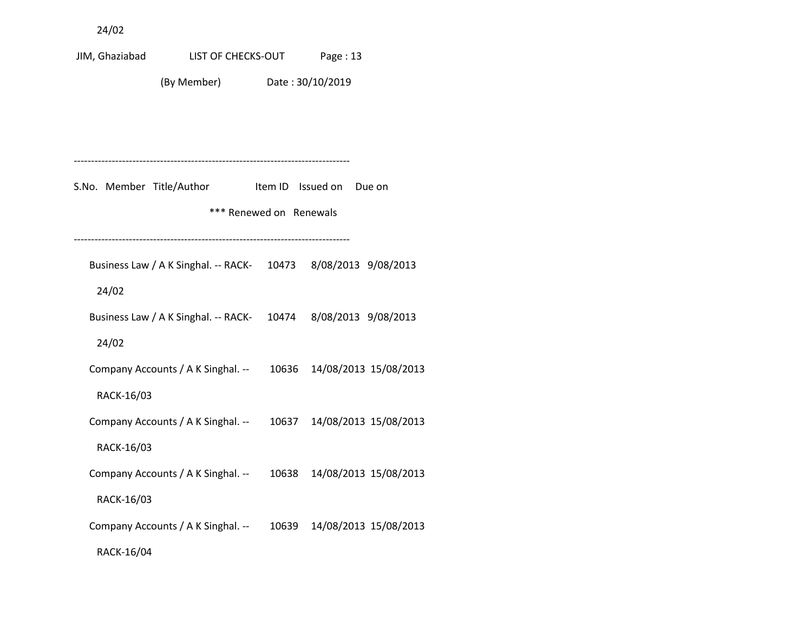24/02

JIM, Ghaziabad LIST OF CHECKS-OUT Page : 13 (By Member) Date : 30/10/2019 -------------------------------------------------------------------------------- S.No. Member Title/Author Item ID Issued on Due on \*\*\* Renewed on Renewals -------------------------------------------------------------------------------- Business Law / A K Singhal. -- RACK- 10473 8/08/2013 9/08/2013 24/02 Business Law / A K Singhal. -- RACK- 10474 8/08/2013 9/08/2013 24/02 Company Accounts / A K Singhal. -- 10636 14/08/2013 15/08/2013 RACK-16/03 Company Accounts / A K Singhal. -- 10637 14/08/2013 15/08/2013 RACK-16/03 Company Accounts / A K Singhal. -- 10638 14/08/2013 15/08/2013 RACK-16/03 Company Accounts / A K Singhal. -- 10639 14/08/2013 15/08/2013 RACK-16/04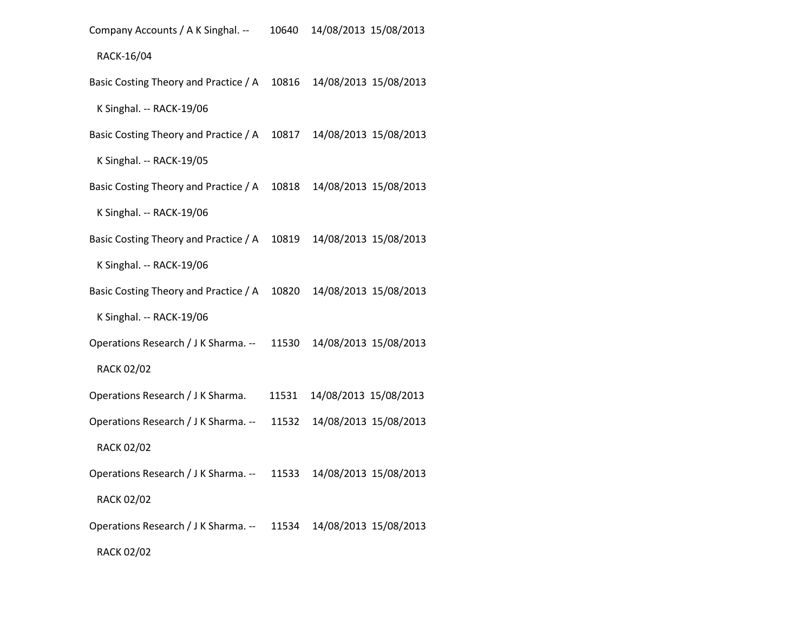Company Accounts / A K Singhal. -- 10640 14/08/2013 15/08/2013

RACK-16/04

Basic Costing Theory and Practice / A 10816 14/08/2013 15/08/2013

K Singhal. -- RACK-19/06

Basic Costing Theory and Practice / A 10817 14/08/2013 15/08/2013

K Singhal. -- RACK-19/05

Basic Costing Theory and Practice / A 10818 14/08/2013 15/08/2013

K Singhal. -- RACK-19/06

Basic Costing Theory and Practice / A 10819 14/08/2013 15/08/2013

K Singhal. -- RACK-19/06

Basic Costing Theory and Practice / A 10820 14/08/2013 15/08/2013

K Singhal. -- RACK-19/06

Operations Research / J K Sharma. -- 11530 14/08/2013 15/08/2013

#### RACK 02/02

Operations Research / J K Sharma. 11531 14/08/2013 15/08/2013

Operations Research / J K Sharma. -- 11532 14/08/2013 15/08/2013

RACK 02/02

Operations Research / J K Sharma. -- 11533 14/08/2013 15/08/2013

RACK 02/02

Operations Research / J K Sharma. -- 11534 14/08/2013 15/08/2013

RACK 02/02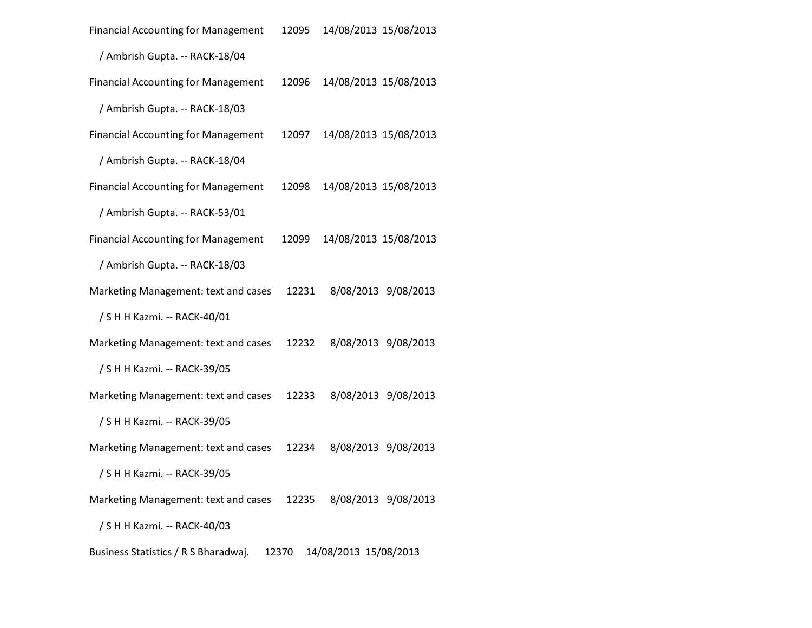| <b>Financial Accounting for Management</b> | 12095 | 14/08/2013 15/08/2013     |                     |  |
|--------------------------------------------|-------|---------------------------|---------------------|--|
| / Ambrish Gupta. -- RACK-18/04             |       |                           |                     |  |
| <b>Financial Accounting for Management</b> | 12096 | 14/08/2013 15/08/2013     |                     |  |
| / Ambrish Gupta. -- RACK-18/03             |       |                           |                     |  |
| <b>Financial Accounting for Management</b> | 12097 | 14/08/2013 15/08/2013     |                     |  |
| / Ambrish Gupta. -- RACK-18/04             |       |                           |                     |  |
| <b>Financial Accounting for Management</b> | 12098 | 14/08/2013 15/08/2013     |                     |  |
| / Ambrish Gupta. -- RACK-53/01             |       |                           |                     |  |
| <b>Financial Accounting for Management</b> | 12099 | 14/08/2013 15/08/2013     |                     |  |
| / Ambrish Gupta. -- RACK-18/03             |       |                           |                     |  |
| Marketing Management: text and cases       | 12231 |                           | 8/08/2013 9/08/2013 |  |
| / S H H Kazmi. -- RACK-40/01               |       |                           |                     |  |
| Marketing Management: text and cases       | 12232 |                           | 8/08/2013 9/08/2013 |  |
| / S H H Kazmi. -- RACK-39/05               |       |                           |                     |  |
| Marketing Management: text and cases       | 12233 |                           | 8/08/2013 9/08/2013 |  |
| / S H H Kazmi. -- RACK-39/05               |       |                           |                     |  |
| Marketing Management: text and cases       | 12234 |                           | 8/08/2013 9/08/2013 |  |
| / S H H Kazmi. -- RACK-39/05               |       |                           |                     |  |
| Marketing Management: text and cases       |       | 12235 8/08/2013 9/08/2013 |                     |  |
| / S H H Kazmi. -- RACK-40/03               |       |                           |                     |  |
| Business Statistics / R S Bharadwaj.       | 12370 | 14/08/2013 15/08/2013     |                     |  |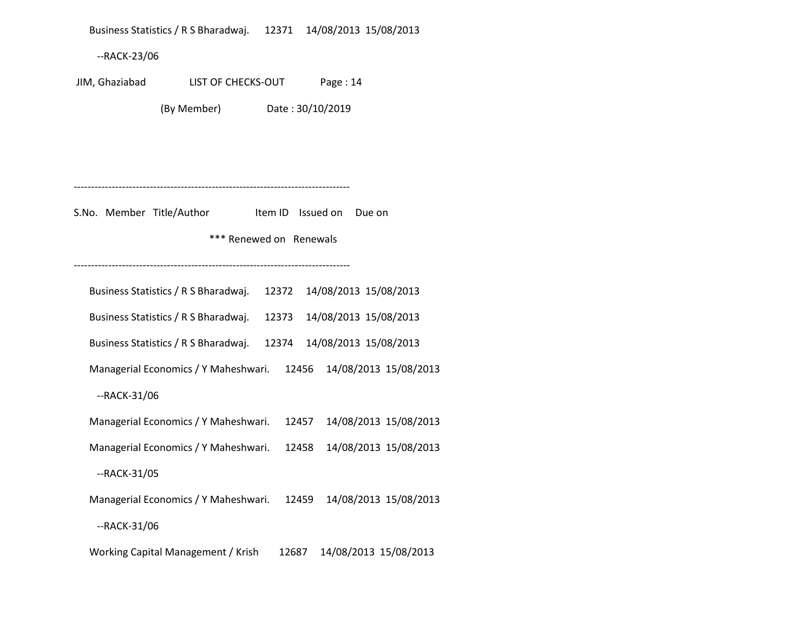Business Statistics / R S Bharadwaj. 12371 14/08/2013 15/08/2013 --RACK-23/06 JIM, Ghaziabad LIST OF CHECKS-OUT Page : 14 (By Member) Date : 30/10/2019 -------------------------------------------------------------------------------- S.No. Member Title/Author Item ID Issued on Due on \*\*\* Renewed on Renewals -------------------------------------------------------------------------------- Business Statistics / R S Bharadwaj. 12372 14/08/2013 15/08/2013 Business Statistics / R S Bharadwaj. 12373 14/08/2013 15/08/2013 Business Statistics / R S Bharadwaj. 12374 14/08/2013 15/08/2013 Managerial Economics / Y Maheshwari. 12456 14/08/2013 15/08/2013 --RACK-31/06 Managerial Economics / Y Maheshwari. 12457 14/08/2013 15/08/2013 Managerial Economics / Y Maheshwari. 12458 14/08/2013 15/08/2013 --RACK-31/05 Managerial Economics / Y Maheshwari. 12459 14/08/2013 15/08/2013 --RACK-31/06 Working Capital Management / Krish 12687 14/08/2013 15/08/2013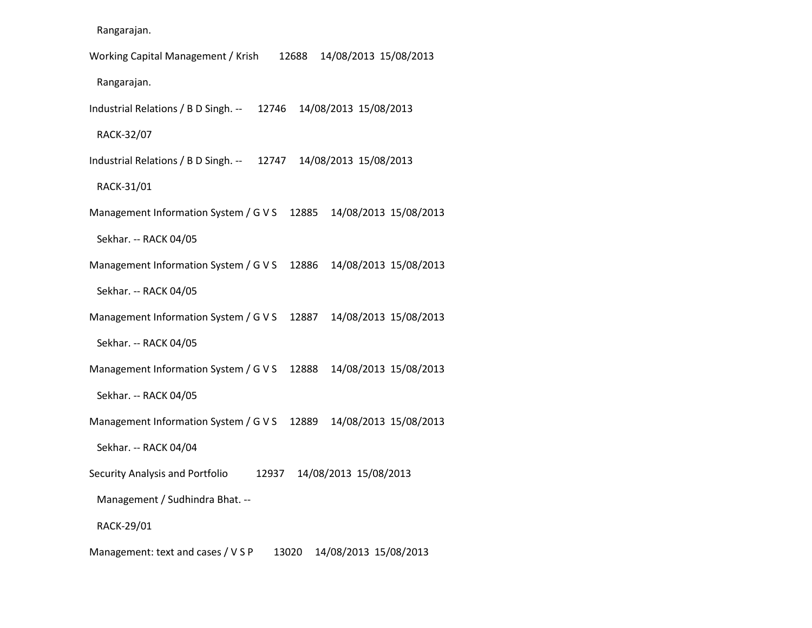Rangarajan.

 Working Capital Management / Krish 12688 14/08/2013 15/08/2013 Rangarajan. Industrial Relations / B D Singh. -- 12746 14/08/2013 15/08/2013 RACK-32/07 Industrial Relations / B D Singh. -- 12747 14/08/2013 15/08/2013 RACK-31/01 Management Information System / G V S 12885 14/08/2013 15/08/2013 Sekhar. -- RACK 04/05 Management Information System / G V S 12886 14/08/2013 15/08/2013 Sekhar. -- RACK 04/05 Management Information System / G V S 12887 14/08/2013 15/08/2013 Sekhar. -- RACK 04/05 Management Information System / G V S 12888 14/08/2013 15/08/2013 Sekhar. -- RACK 04/05 Management Information System / G V S 12889 14/08/2013 15/08/2013 Sekhar. -- RACK 04/04 Security Analysis and Portfolio 12937 14/08/2013 15/08/2013 Management / Sudhindra Bhat. -- RACK-29/01

Management: text and cases / V S P 13020 14/08/2013 15/08/2013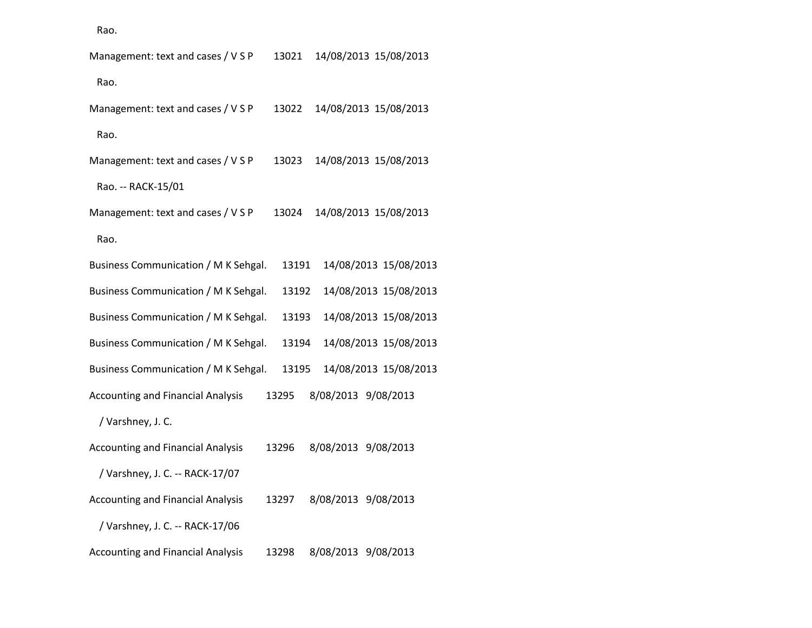Rao.

| Management: text and cases / V S P       | 13021 | 14/08/2013 15/08/2013 |
|------------------------------------------|-------|-----------------------|
| Rao.                                     |       |                       |
| Management: text and cases / V S P       | 13022 | 14/08/2013 15/08/2013 |
| Rao.                                     |       |                       |
| Management: text and cases / V S P       | 13023 | 14/08/2013 15/08/2013 |
| Rao. -- RACK-15/01                       |       |                       |
| Management: text and cases / V S P       | 13024 | 14/08/2013 15/08/2013 |
| Rao.                                     |       |                       |
| Business Communication / M K Sehgal.     | 13191 | 14/08/2013 15/08/2013 |
| Business Communication / M K Sehgal.     | 13192 | 14/08/2013 15/08/2013 |
| Business Communication / M K Sehgal.     | 13193 | 14/08/2013 15/08/2013 |
| Business Communication / M K Sehgal.     | 13194 | 14/08/2013 15/08/2013 |
| Business Communication / M K Sehgal.     | 13195 | 14/08/2013 15/08/2013 |
| <b>Accounting and Financial Analysis</b> | 13295 | 8/08/2013 9/08/2013   |
| / Varshney, J. C.                        |       |                       |
| <b>Accounting and Financial Analysis</b> | 13296 | 8/08/2013 9/08/2013   |
| / Varshney, J. C. -- RACK-17/07          |       |                       |
| <b>Accounting and Financial Analysis</b> | 13297 | 8/08/2013 9/08/2013   |
| / Varshney, J. C. -- RACK-17/06          |       |                       |
| <b>Accounting and Financial Analysis</b> | 13298 | 8/08/2013 9/08/2013   |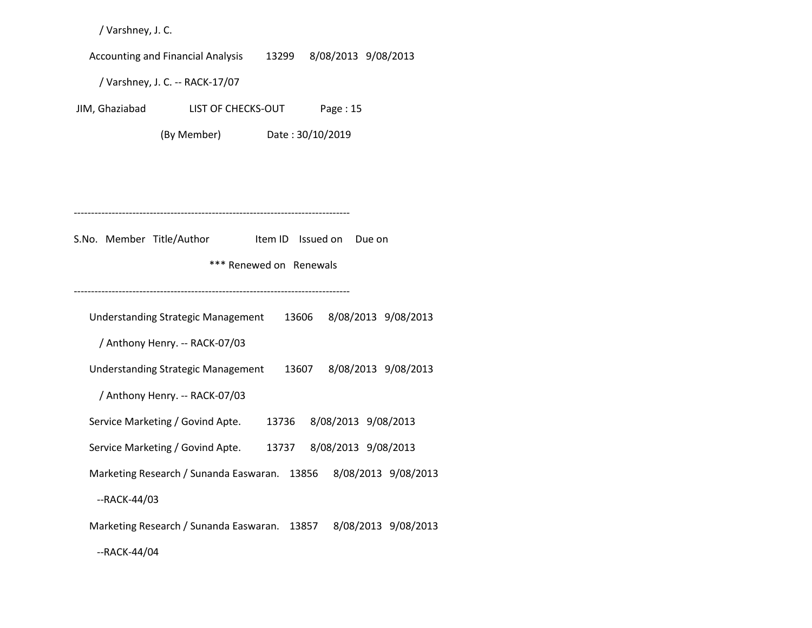/ Varshney, J. C.

Accounting and Financial Analysis 13299 8/08/2013 9/08/2013

/ Varshney, J. C. -- RACK-17/07

JIM, Ghaziabad LIST OF CHECKS-OUT Page : 15

(By Member) Date : 30/10/2019

--------------------------------------------------------------------------------

S.No. Member Title/Author Item ID Issued on Due on

\*\*\* Renewed on Renewals

--------------------------------------------------------------------------------

 Understanding Strategic Management 13606 8/08/2013 9/08/2013 / Anthony Henry. -- RACK-07/03 Understanding Strategic Management 13607 8/08/2013 9/08/2013 / Anthony Henry. -- RACK-07/03 Service Marketing / Govind Apte. 13736 8/08/2013 9/08/2013 Service Marketing / Govind Apte. 13737 8/08/2013 9/08/2013 Marketing Research / Sunanda Easwaran. 13856 8/08/2013 9/08/2013 --RACK-44/03 Marketing Research / Sunanda Easwaran. 13857 8/08/2013 9/08/2013

--RACK-44/04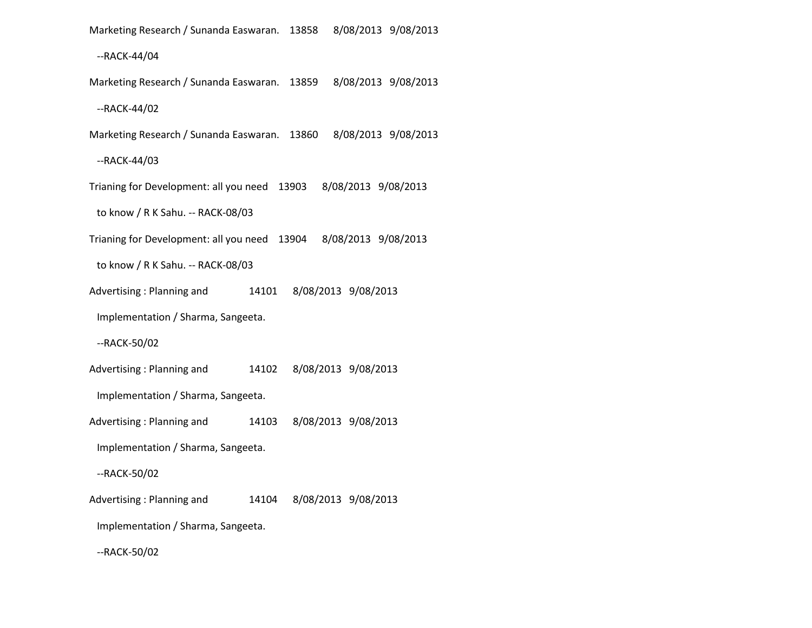Marketing Research / Sunanda Easwaran. 13858 8/08/2013 9/08/2013

--RACK-44/04

Marketing Research / Sunanda Easwaran. 13859 8/08/2013 9/08/2013

--RACK-44/02

Marketing Research / Sunanda Easwaran. 13860 8/08/2013 9/08/2013

--RACK-44/03

Trianing for Development: all you need 13903 8/08/2013 9/08/2013

to know / R K Sahu. -- RACK-08/03

Trianing for Development: all you need 13904 8/08/2013 9/08/2013

to know / R K Sahu. -- RACK-08/03

Advertising : Planning and 14101 8/08/2013 9/08/2013

Implementation / Sharma, Sangeeta.

--RACK-50/02

Advertising : Planning and 14102 8/08/2013 9/08/2013

Implementation / Sharma, Sangeeta.

Advertising : Planning and 14103 8/08/2013 9/08/2013

Implementation / Sharma, Sangeeta.

--RACK-50/02

Advertising : Planning and 14104 8/08/2013 9/08/2013

Implementation / Sharma, Sangeeta.

--RACK-50/02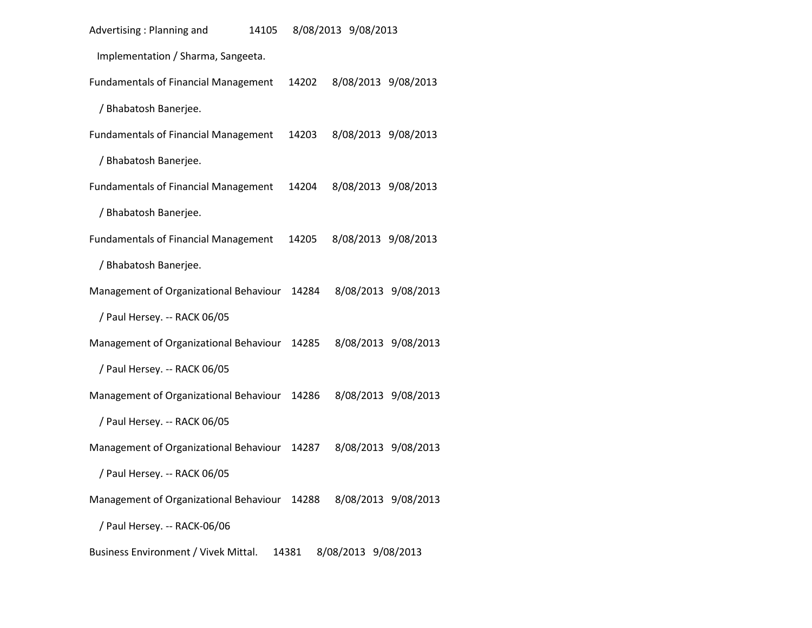| Advertising: Planning and<br>14105          |       | 8/08/2013 9/08/2013 |                     |
|---------------------------------------------|-------|---------------------|---------------------|
| Implementation / Sharma, Sangeeta.          |       |                     |                     |
| <b>Fundamentals of Financial Management</b> | 14202 |                     | 8/08/2013 9/08/2013 |
| / Bhabatosh Banerjee.                       |       |                     |                     |
| <b>Fundamentals of Financial Management</b> | 14203 |                     | 8/08/2013 9/08/2013 |
| / Bhabatosh Banerjee.                       |       |                     |                     |
| <b>Fundamentals of Financial Management</b> | 14204 |                     | 8/08/2013 9/08/2013 |
| / Bhabatosh Banerjee.                       |       |                     |                     |
| <b>Fundamentals of Financial Management</b> | 14205 |                     | 8/08/2013 9/08/2013 |
| / Bhabatosh Banerjee.                       |       |                     |                     |
| Management of Organizational Behaviour      | 14284 |                     | 8/08/2013 9/08/2013 |
| / Paul Hersey. -- RACK 06/05                |       |                     |                     |
| Management of Organizational Behaviour      | 14285 |                     | 8/08/2013 9/08/2013 |
| / Paul Hersey. -- RACK 06/05                |       |                     |                     |
| Management of Organizational Behaviour      | 14286 |                     | 8/08/2013 9/08/2013 |
| / Paul Hersey. -- RACK 06/05                |       |                     |                     |
| Management of Organizational Behaviour      | 14287 |                     | 8/08/2013 9/08/2013 |
| / Paul Hersey. -- RACK 06/05                |       |                     |                     |
| Management of Organizational Behaviour      | 14288 |                     | 8/08/2013 9/08/2013 |
| / Paul Hersey. -- RACK-06/06                |       |                     |                     |
| Business Environment / Vivek Mittal.        | 14381 | 8/08/2013 9/08/2013 |                     |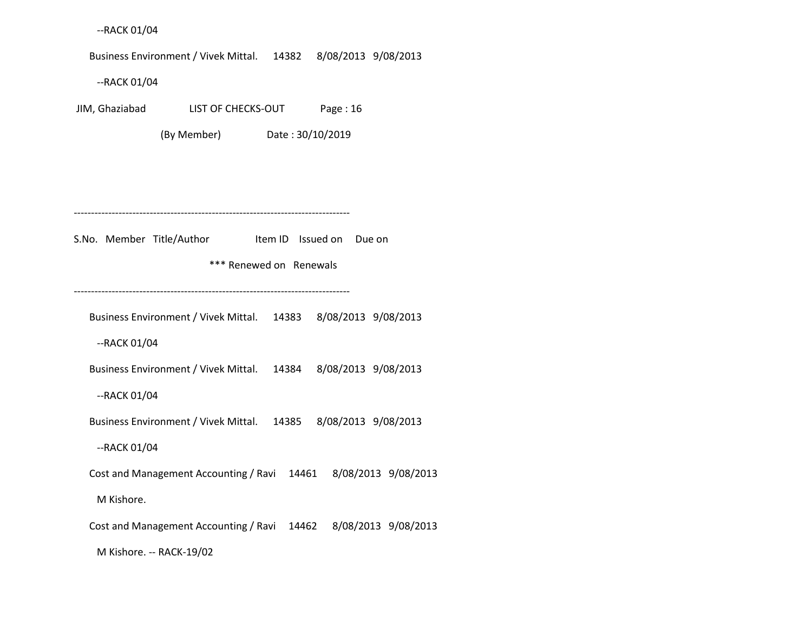--RACK 01/04

Business Environment / Vivek Mittal. 14382 8/08/2013 9/08/2013

--RACK 01/04

JIM, Ghaziabad LIST OF CHECKS-OUT Page : 16

(By Member) Date : 30/10/2019

--------------------------------------------------------------------------------

S.No. Member Title/Author Item ID Issued on Due on

\*\*\* Renewed on Renewals

--------------------------------------------------------------------------------

Business Environment / Vivek Mittal. 14383 8/08/2013 9/08/2013

--RACK 01/04

Business Environment / Vivek Mittal. 14384 8/08/2013 9/08/2013

--RACK 01/04

Business Environment / Vivek Mittal. 14385 8/08/2013 9/08/2013

--RACK 01/04

Cost and Management Accounting / Ravi 14461 8/08/2013 9/08/2013

M Kishore.

Cost and Management Accounting / Ravi 14462 8/08/2013 9/08/2013

M Kishore. -- RACK-19/02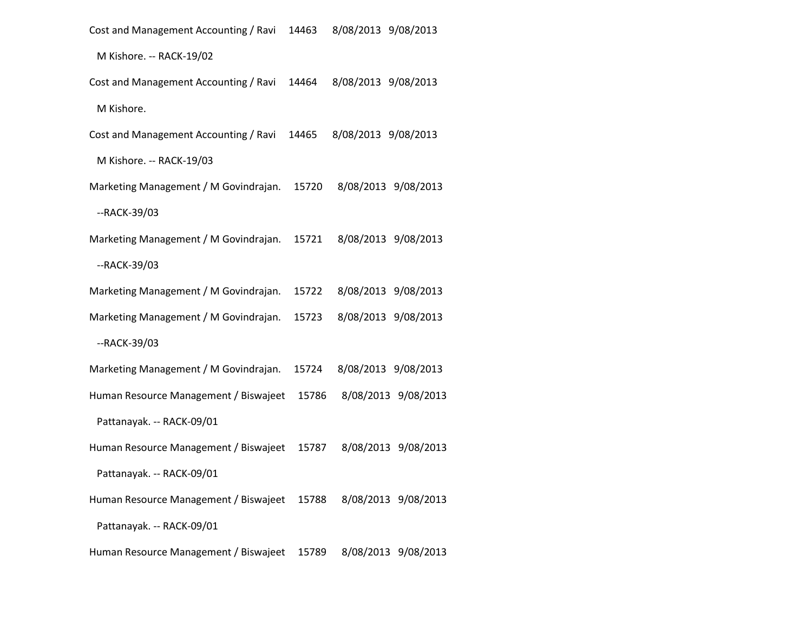Cost and Management Accounting / Ravi 14463 8/08/2013 9/08/2013 M Kishore. -- RACK-19/02 Cost and Management Accounting / Ravi 14464 8/08/2013 9/08/2013 M Kishore. Cost and Management Accounting / Ravi 14465 8/08/2013 9/08/2013 M Kishore. -- RACK-19/03 Marketing Management / M Govindrajan. 15720 8/08/2013 9/08/2013 --RACK-39/03 Marketing Management / M Govindrajan. 15721 8/08/2013 9/08/2013 --RACK-39/03 Marketing Management / M Govindrajan. 15722 8/08/2013 9/08/2013 Marketing Management / M Govindrajan. 15723 8/08/2013 9/08/2013 --RACK-39/03 Marketing Management / M Govindrajan. 15724 8/08/2013 9/08/2013 Human Resource Management / Biswajeet 15786 8/08/2013 9/08/2013 Pattanayak. -- RACK-09/01 Human Resource Management / Biswajeet 15787 8/08/2013 9/08/2013 Pattanayak. -- RACK-09/01 Human Resource Management / Biswajeet 15788 8/08/2013 9/08/2013 Pattanayak. -- RACK-09/01 Human Resource Management / Biswajeet 15789 8/08/2013 9/08/2013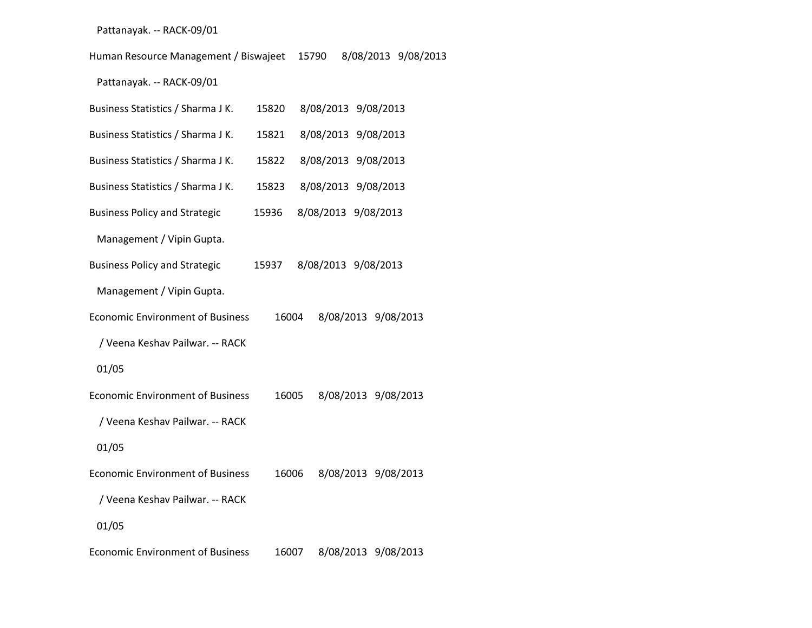### Pattanayak. -- RACK-09/01

Human Resource Management / Biswajeet 15790 8/08/2013 9/08/2013

Pattanayak. -- RACK-09/01

| Business Statistics / Sharma J K.       | 15820 |                     | 8/08/2013 9/08/2013 |
|-----------------------------------------|-------|---------------------|---------------------|
| Business Statistics / Sharma J K.       | 15821 |                     | 8/08/2013 9/08/2013 |
| Business Statistics / Sharma J K.       | 15822 |                     | 8/08/2013 9/08/2013 |
| Business Statistics / Sharma J K.       | 15823 |                     | 8/08/2013 9/08/2013 |
| <b>Business Policy and Strategic</b>    | 15936 | 8/08/2013 9/08/2013 |                     |
| Management / Vipin Gupta.               |       |                     |                     |
| <b>Business Policy and Strategic</b>    | 15937 | 8/08/2013 9/08/2013 |                     |
| Management / Vipin Gupta.               |       |                     |                     |
| <b>Economic Environment of Business</b> | 16004 |                     | 8/08/2013 9/08/2013 |
| / Veena Keshav Pailwar. -- RACK         |       |                     |                     |
| 01/05                                   |       |                     |                     |
| <b>Economic Environment of Business</b> | 16005 |                     | 8/08/2013 9/08/2013 |
| / Veena Keshav Pailwar. -- RACK         |       |                     |                     |
| 01/05                                   |       |                     |                     |
| <b>Economic Environment of Business</b> | 16006 |                     | 8/08/2013 9/08/2013 |
| / Veena Keshav Pailwar. -- RACK         |       |                     |                     |
| 01/05                                   |       |                     |                     |
| <b>Economic Environment of Business</b> | 16007 |                     | 8/08/2013 9/08/2013 |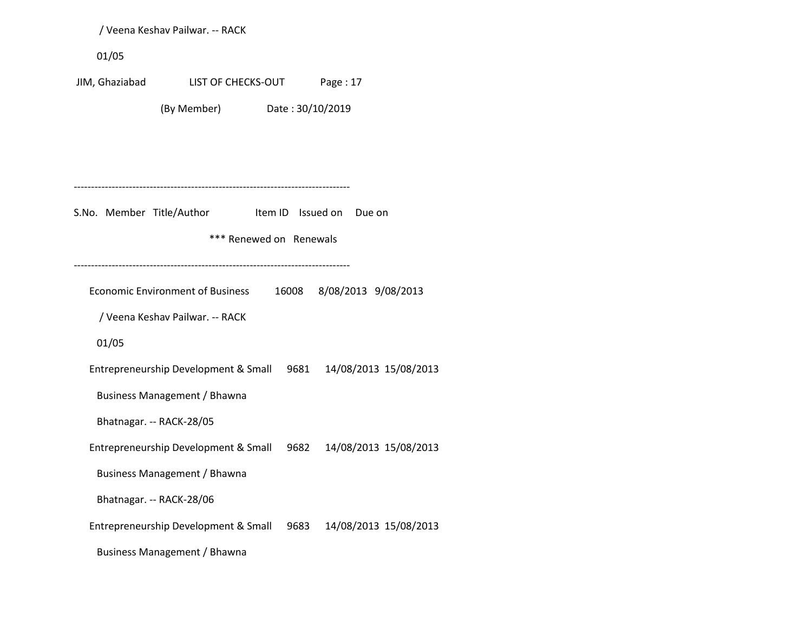/ Veena Keshav Pailwar. -- RACK 01/05 JIM, Ghaziabad LIST OF CHECKS-OUT Page : 17 (By Member) Date : 30/10/2019 -------------------------------------------------------------------------------- S.No. Member Title/Author Item ID Issued on Due on \*\*\* Renewed on Renewals -------------------------------------------------------------------------------- Economic Environment of Business 16008 8/08/2013 9/08/2013 / Veena Keshav Pailwar. -- RACK 01/05 Entrepreneurship Development & Small 9681 14/08/2013 15/08/2013 Business Management / Bhawna Bhatnagar. -- RACK-28/05 Entrepreneurship Development & Small 9682 14/08/2013 15/08/2013 Business Management / Bhawna Bhatnagar. -- RACK-28/06 Entrepreneurship Development & Small 9683 14/08/2013 15/08/2013 Business Management / Bhawna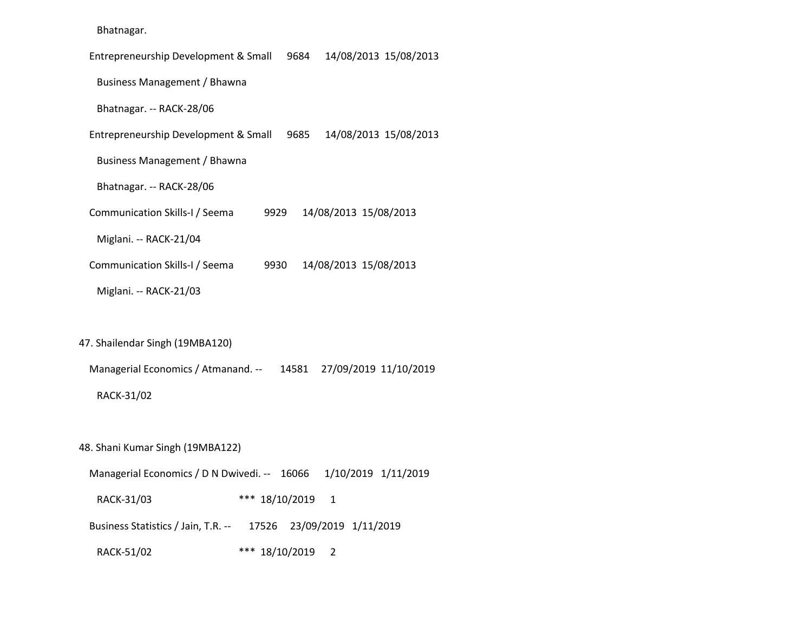| Bhatnagar. |
|------------|
|------------|

| 14/08/2013 15/08/2013<br>Entrepreneurship Development & Small<br>9684 |
|-----------------------------------------------------------------------|
| Business Management / Bhawna                                          |
| Bhatnagar. -- RACK-28/06                                              |
| 14/08/2013 15/08/2013<br>Entrepreneurship Development & Small<br>9685 |
| Business Management / Bhawna                                          |
| Bhatnagar. -- RACK-28/06                                              |
| 14/08/2013 15/08/2013<br>Communication Skills-I / Seema<br>9929       |
| Miglani. -- RACK-21/04                                                |
| 14/08/2013 15/08/2013<br>Communication Skills-I / Seema<br>9930       |
| Miglani. -- RACK-21/03                                                |

47. Shailendar Singh (19MBA120)

Managerial Economics / Atmanand. -- 14581 27/09/2019 11/10/2019

RACK-31/02

48. Shani Kumar Singh (19MBA122)

 Managerial Economics / D N Dwivedi. -- 16066 1/10/2019 1/11/2019 RACK-31/03 \*\*\* 18/10/2019 1 Business Statistics / Jain, T.R. -- 17526 23/09/2019 1/11/2019 RACK-51/02 \*\*\* 18/10/2019 2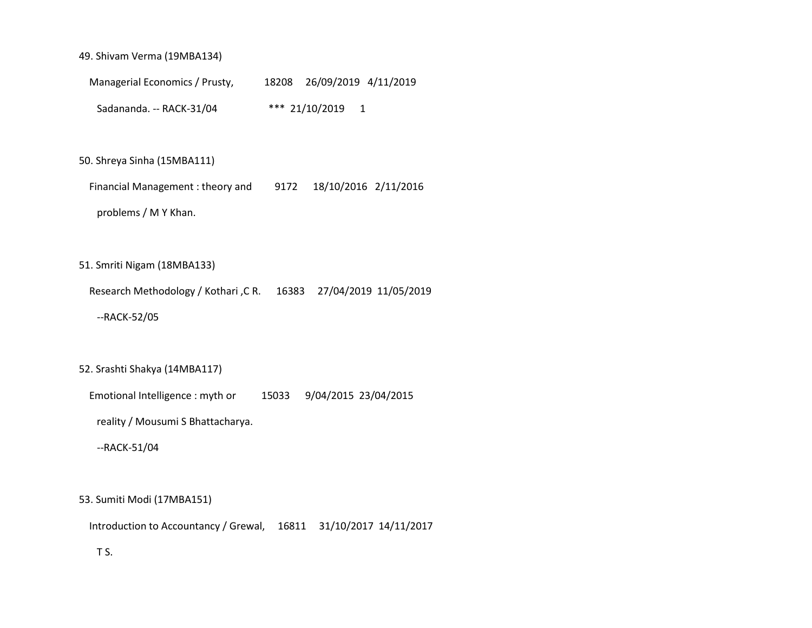### 49. Shivam Verma (19MBA134)

 Managerial Economics / Prusty, 18208 26/09/2019 4/11/2019 Sadananda. -- RACK-31/04 \*\*\* 21/10/2019 1

### 50. Shreya Sinha (15MBA111)

 Financial Management : theory and 9172 18/10/2016 2/11/2016 problems / M Y Khan.

### 51. Smriti Nigam (18MBA133)

Research Methodology / Kothari ,C R. 16383 27/04/2019 11/05/2019

--RACK-52/05

#### 52. Srashti Shakya (14MBA117)

Emotional Intelligence : myth or 15033 9/04/2015 23/04/2015

reality / Mousumi S Bhattacharya.

--RACK-51/04

#### 53. Sumiti Modi (17MBA151)

Introduction to Accountancy / Grewal, 16811 31/10/2017 14/11/2017

## T S.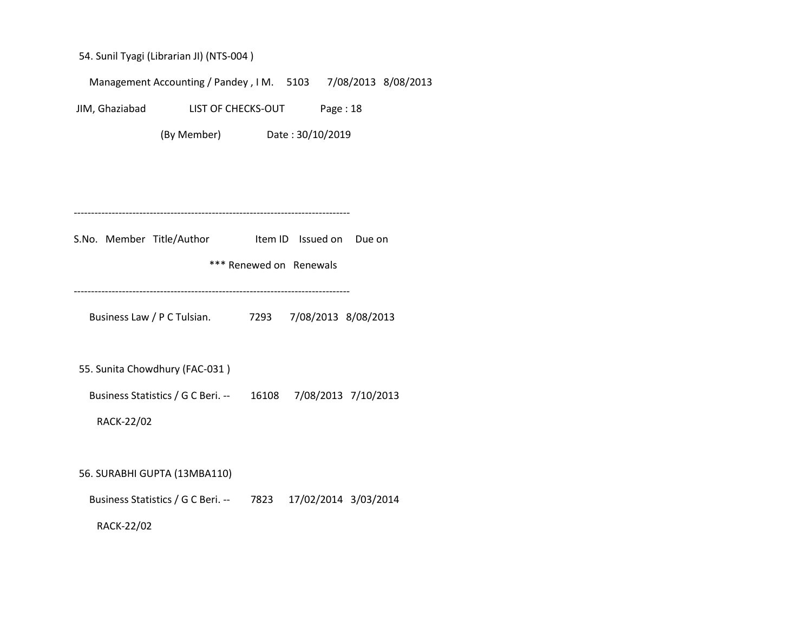54. Sunil Tyagi (Librarian JI) (NTS-004 )

Management Accounting / Pandey , I M. 5103 7/08/2013 8/08/2013

JIM, Ghaziabad LIST OF CHECKS-OUT Page : 18

(By Member) Date : 30/10/2019

--------------------------------------------------------------------------------

S.No. Member Title/Author Item ID Issued on Due on

\*\*\* Renewed on Renewals

--------------------------------------------------------------------------------

Business Law / P C Tulsian. 7293 7/08/2013 8/08/2013

55. Sunita Chowdhury (FAC-031 )

Business Statistics / G C Beri. -- 16108 7/08/2013 7/10/2013

RACK-22/02

56. SURABHI GUPTA (13MBA110)

Business Statistics / G C Beri. -- 7823 17/02/2014 3/03/2014

RACK-22/02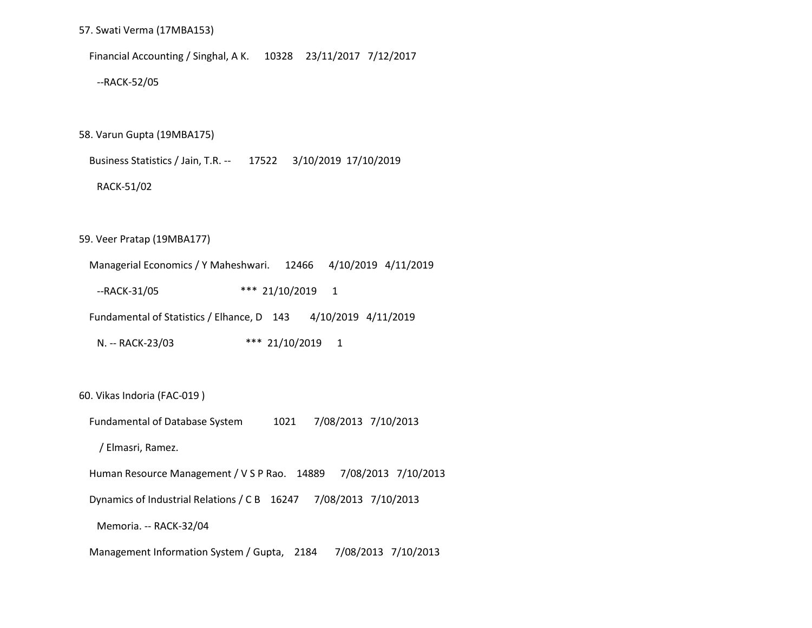57. Swati Verma (17MBA153)

Financial Accounting / Singhal, A K. 10328 23/11/2017 7/12/2017

--RACK-52/05

58. Varun Gupta (19MBA175)

Business Statistics / Jain, T.R. -- 17522 3/10/2019 17/10/2019

RACK-51/02

59. Veer Pratap (19MBA177)

 Managerial Economics / Y Maheshwari. 12466 4/10/2019 4/11/2019 --RACK-31/05 \*\*\* 21/10/2019 1 Fundamental of Statistics / Elhance, D 143 4/10/2019 4/11/2019 N. -- RACK-23/03 \*\*\* 21/10/2019 1

60. Vikas Indoria (FAC-019 )

Fundamental of Database System 1021 7/08/2013 7/10/2013

/ Elmasri, Ramez.

Human Resource Management / V S P Rao. 14889 7/08/2013 7/10/2013

Dynamics of Industrial Relations / C B 16247 7/08/2013 7/10/2013

Memoria. -- RACK-32/04

Management Information System / Gupta, 2184 7/08/2013 7/10/2013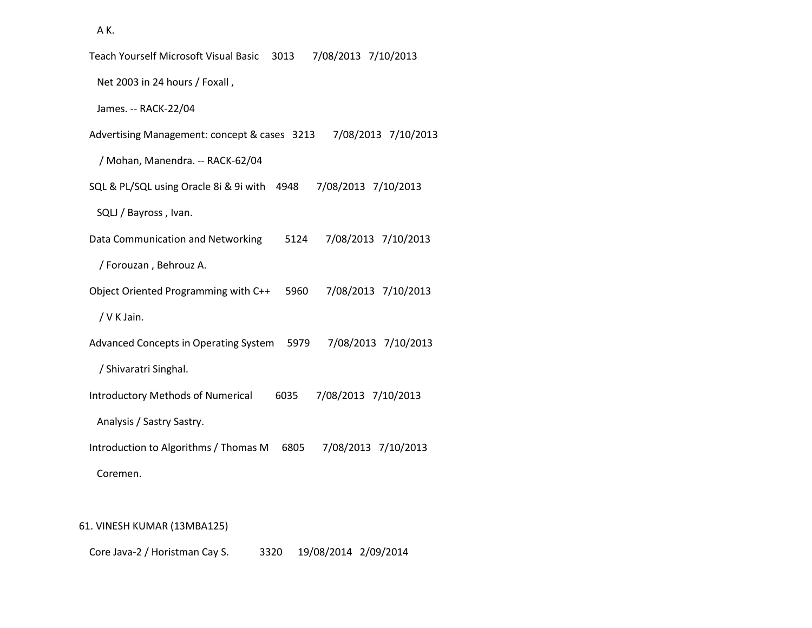A K.

| Teach Yourself Microsoft Visual Basic<br>7/08/2013 7/10/2013<br>3013    |
|-------------------------------------------------------------------------|
| Net 2003 in 24 hours / Foxall,                                          |
| James. -- RACK-22/04                                                    |
| Advertising Management: concept & cases 3213<br>7/08/2013 7/10/2013     |
| / Mohan, Manendra. -- RACK-62/04                                        |
| SQL & PL/SQL using Oracle 8i & 9i with<br>4948<br>7/08/2013 7/10/2013   |
| SQLJ / Bayross, Ivan.                                                   |
| Data Communication and Networking<br>5124<br>7/08/2013 7/10/2013        |
| / Forouzan, Behrouz A.                                                  |
| Object Oriented Programming with C++<br>7/08/2013 7/10/2013<br>5960     |
| / V K Jain.                                                             |
| Advanced Concepts in Operating System<br>5979<br>7/08/2013 7/10/2013    |
| / Shivaratri Singhal.                                                   |
| <b>Introductory Methods of Numerical</b><br>6035<br>7/08/2013 7/10/2013 |
| Analysis / Sastry Sastry.                                               |
| Introduction to Algorithms / Thomas M<br>6805<br>7/08/2013 7/10/2013    |
| Coremen.                                                                |
|                                                                         |

# 61. VINESH KUMAR (13MBA125)

Core Java-2 / Horistman Cay S. 3320 19/08/2014 2/09/2014